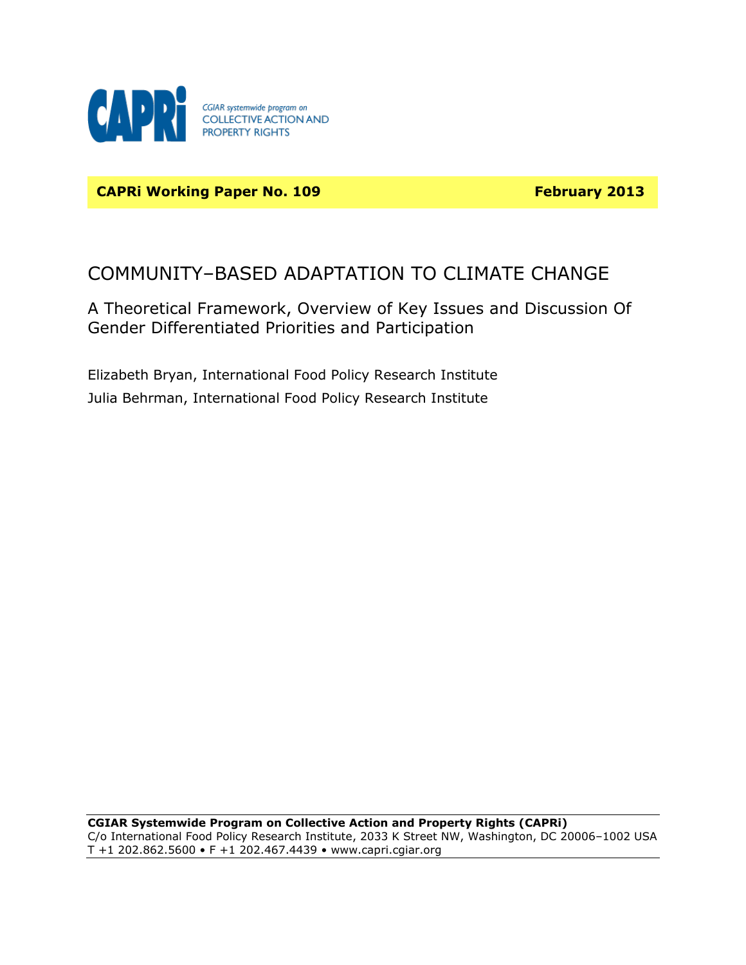

**CAPRI Working Paper No. 109 February 2013** 

# COMMUNITY–BASED ADAPTATION TO CLIMATE CHANGE

A Theoretical Framework, Overview of Key Issues and Discussion Of Gender Differentiated Priorities and Participation

Elizabeth Bryan, International Food Policy Research Institute Julia Behrman, International Food Policy Research Institute

**CGIAR Systemwide Program on Collective Action and Property Rights (CAPRi)** C/o International Food Policy Research Institute, 2033 K Street NW, Washington, DC 20006–1002 USA T +1 202.862.5600 • F +1 202.467.4439 • [www.capri.cgiar.org](http://www.capri.cgiar.org/)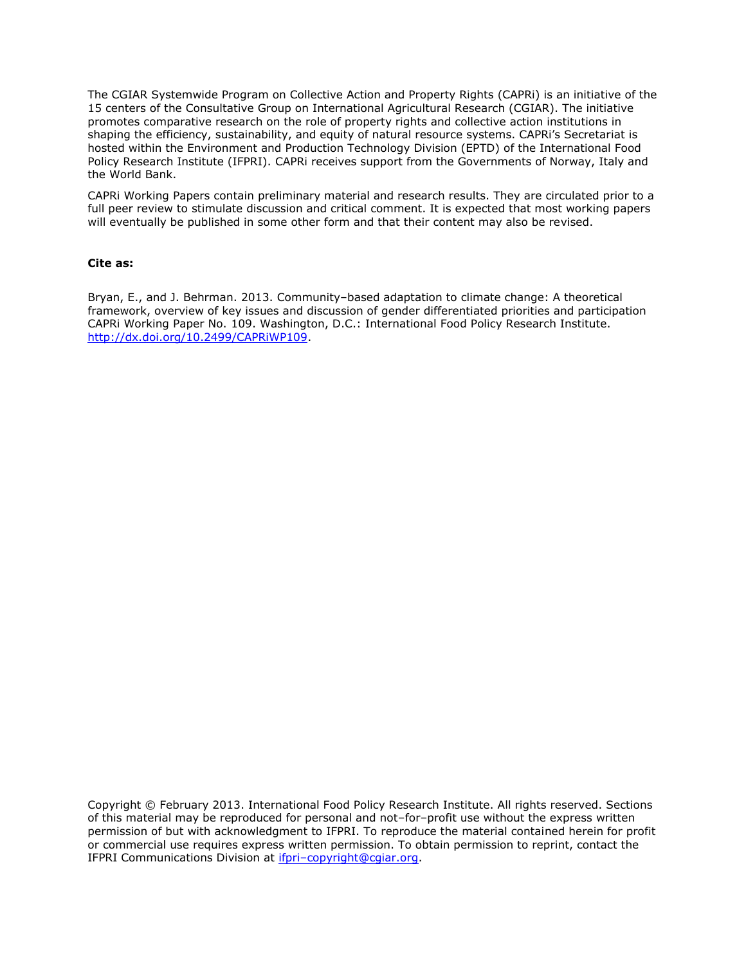The CGIAR Systemwide Program on Collective Action and Property Rights (CAPRi) is an initiative of the 15 centers of the Consultative Group on International Agricultural Research (CGIAR). The initiative promotes comparative research on the role of property rights and collective action institutions in shaping the efficiency, sustainability, and equity of natural resource systems. CAPRi's Secretariat is hosted within the Environment and Production Technology Division (EPTD) of the International Food Policy Research Institute (IFPRI). CAPRi receives support from the Governments of Norway, Italy and the World Bank.

CAPRi Working Papers contain preliminary material and research results. They are circulated prior to a full peer review to stimulate discussion and critical comment. It is expected that most working papers will eventually be published in some other form and that their content may also be revised.

#### **Cite as:**

Bryan, E., and J. Behrman. 2013. Community–based adaptation to climate change: A theoretical framework, overview of key issues and discussion of gender differentiated priorities and participation CAPRi Working Paper No. 109. Washington, D.C.: International Food Policy Research Institute. [http://dx.doi.org/10.2499/CAPRiWP109.](http://dx.doi.org/10.2499/CAPRiWP109)

Copyright © February 2013. International Food Policy Research Institute. All rights reserved. Sections of this material may be reproduced for personal and not–for–profit use without the express written permission of but with acknowledgment to IFPRI. To reproduce the material contained herein for profit or commercial use requires express written permission. To obtain permission to reprint, contact the IFPRI Communications Division at ifpri–[copyright@cgiar.org.](mailto:ifpri-copyright@cgiar.org)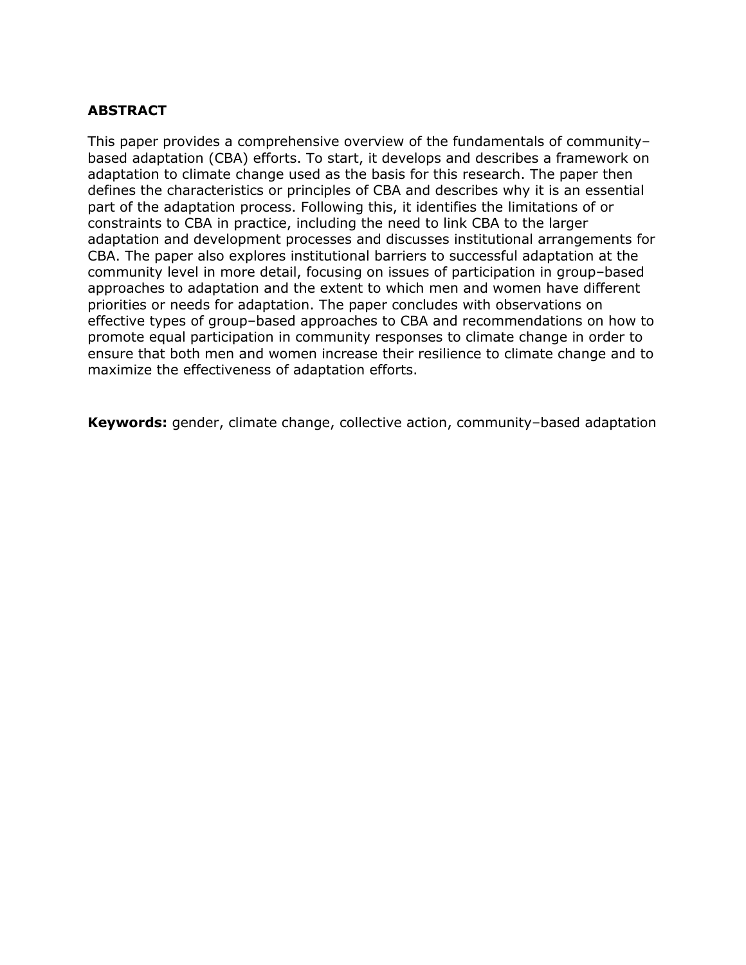#### **ABSTRACT**

This paper provides a comprehensive overview of the fundamentals of community– based adaptation (CBA) efforts. To start, it develops and describes a framework on adaptation to climate change used as the basis for this research. The paper then defines the characteristics or principles of CBA and describes why it is an essential part of the adaptation process. Following this, it identifies the limitations of or constraints to CBA in practice, including the need to link CBA to the larger adaptation and development processes and discusses institutional arrangements for CBA. The paper also explores institutional barriers to successful adaptation at the community level in more detail, focusing on issues of participation in group–based approaches to adaptation and the extent to which men and women have different priorities or needs for adaptation. The paper concludes with observations on effective types of group–based approaches to CBA and recommendations on how to promote equal participation in community responses to climate change in order to ensure that both men and women increase their resilience to climate change and to maximize the effectiveness of adaptation efforts.

**Keywords:** gender, climate change, collective action, community–based adaptation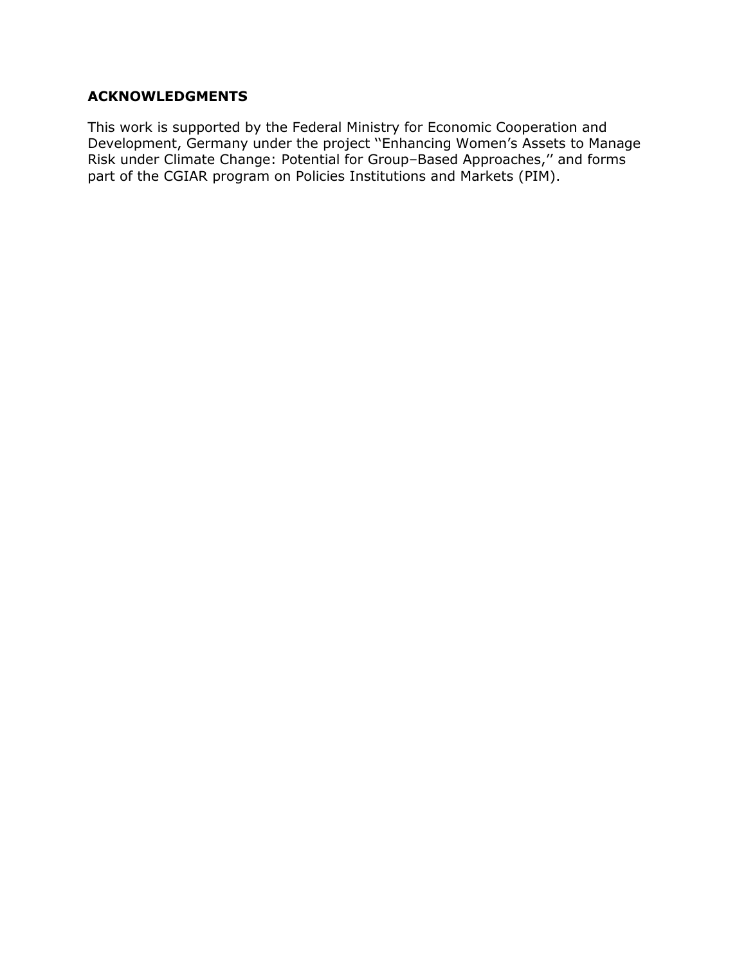#### **ACKNOWLEDGMENTS**

This work is supported by the Federal Ministry for Economic Cooperation and Development, Germany under the project ''Enhancing Women's Assets to Manage Risk under Climate Change: Potential for Group–Based Approaches,'' and forms part of the CGIAR program on Policies Institutions and Markets (PIM).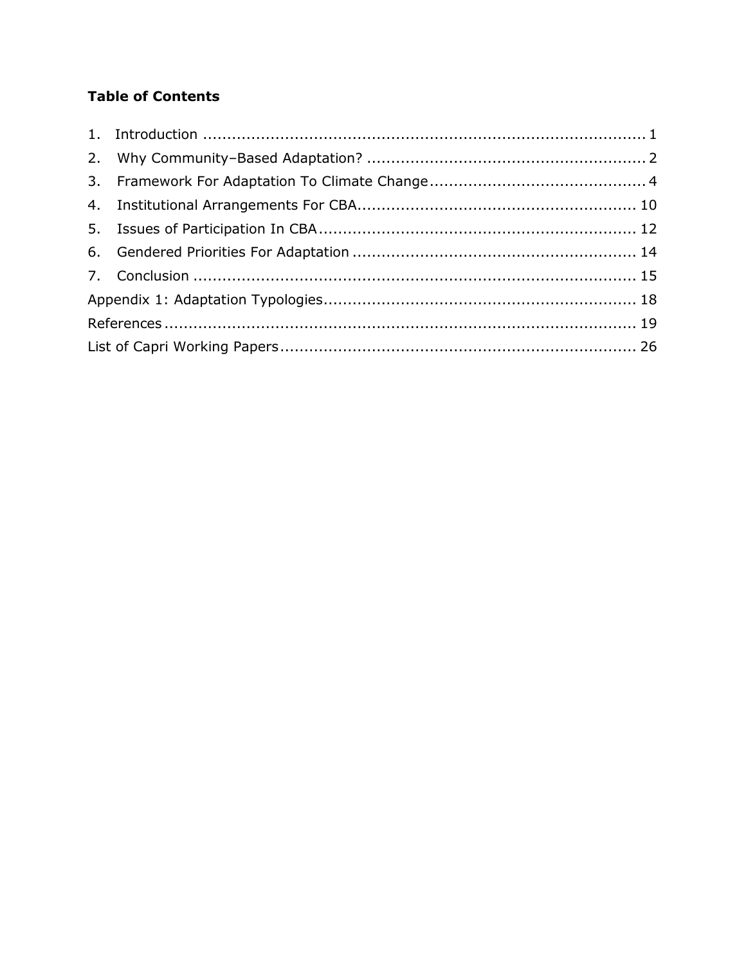## **Table of Contents**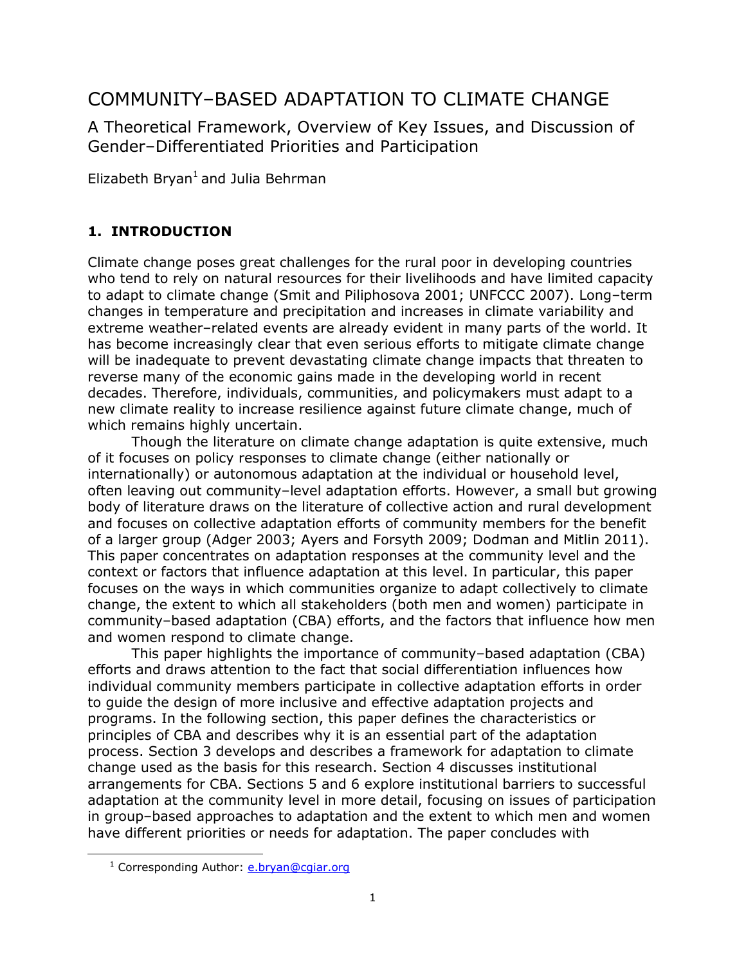# COMMUNITY–BASED ADAPTATION TO CLIMATE CHANGE

A Theoretical Framework, Overview of Key Issues, and Discussion of Gender–Differentiated Priorities and Participation

Elizabeth Bryan<sup>1</sup> and Julia Behrman

## <span id="page-5-0"></span>**1. INTRODUCTION**

Climate change poses great challenges for the rural poor in developing countries who tend to rely on natural resources for their livelihoods and have limited capacity to adapt to climate change (Smit and Piliphosova 2001; UNFCCC 2007). Long–term changes in temperature and precipitation and increases in climate variability and extreme weather–related events are already evident in many parts of the world. It has become increasingly clear that even serious efforts to mitigate climate change will be inadequate to prevent devastating climate change impacts that threaten to reverse many of the economic gains made in the developing world in recent decades. Therefore, individuals, communities, and policymakers must adapt to a new climate reality to increase resilience against future climate change, much of which remains highly uncertain.

Though the literature on climate change adaptation is quite extensive, much of it focuses on policy responses to climate change (either nationally or internationally) or autonomous adaptation at the individual or household level, often leaving out community–level adaptation efforts. However, a small but growing body of literature draws on the literature of collective action and rural development and focuses on collective adaptation efforts of community members for the benefit of a larger group (Adger 2003; Ayers and Forsyth 2009; Dodman and Mitlin 2011). This paper concentrates on adaptation responses at the community level and the context or factors that influence adaptation at this level. In particular, this paper focuses on the ways in which communities organize to adapt collectively to climate change, the extent to which all stakeholders (both men and women) participate in community–based adaptation (CBA) efforts, and the factors that influence how men and women respond to climate change.

This paper highlights the importance of community–based adaptation (CBA) efforts and draws attention to the fact that social differentiation influences how individual community members participate in collective adaptation efforts in order to guide the design of more inclusive and effective adaptation projects and programs. In the following section, this paper defines the characteristics or principles of CBA and describes why it is an essential part of the adaptation process. Section 3 develops and describes a framework for adaptation to climate change used as the basis for this research. Section 4 discusses institutional arrangements for CBA. Sections 5 and 6 explore institutional barriers to successful adaptation at the community level in more detail, focusing on issues of participation in group–based approaches to adaptation and the extent to which men and women have different priorities or needs for adaptation. The paper concludes with

l

<sup>&</sup>lt;sup>1</sup> Corresponding Author: **e.bryan@cgiar.org**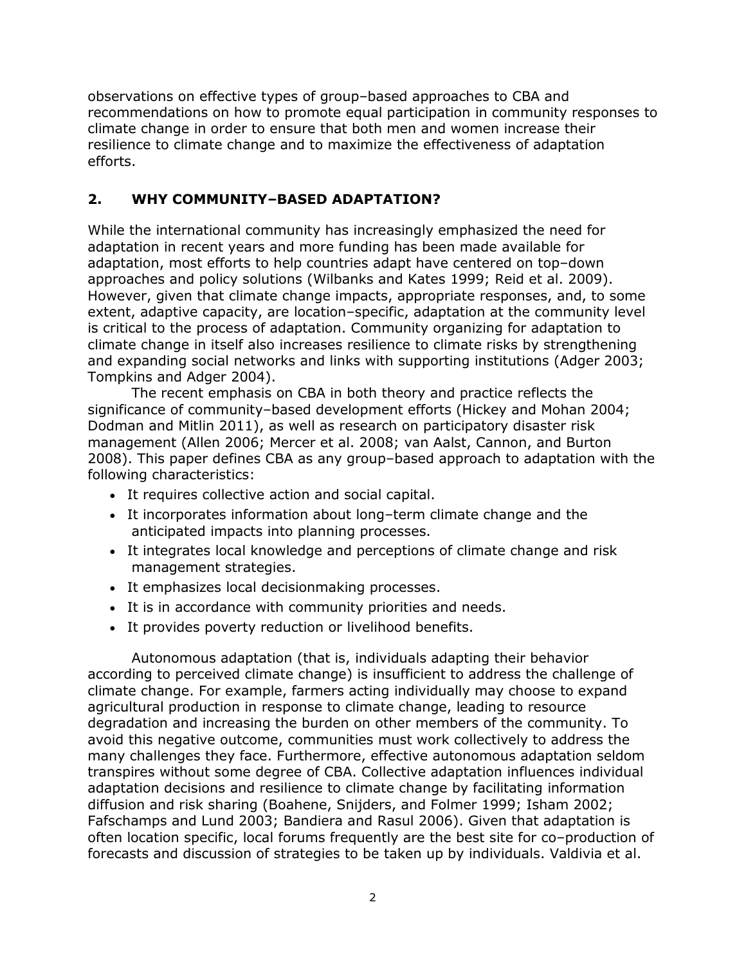observations on effective types of group–based approaches to CBA and recommendations on how to promote equal participation in community responses to climate change in order to ensure that both men and women increase their resilience to climate change and to maximize the effectiveness of adaptation efforts.

### <span id="page-6-0"></span>**2. WHY COMMUNITY–BASED ADAPTATION?**

While the international community has increasingly emphasized the need for adaptation in recent years and more funding has been made available for adaptation, most efforts to help countries adapt have centered on top–down approaches and policy solutions (Wilbanks and Kates 1999; Reid et al. 2009). However, given that climate change impacts, appropriate responses, and, to some extent, adaptive capacity, are location–specific, adaptation at the community level is critical to the process of adaptation. Community organizing for adaptation to climate change in itself also increases resilience to climate risks by strengthening and expanding social networks and links with supporting institutions (Adger 2003; Tompkins and Adger 2004).

The recent emphasis on CBA in both theory and practice reflects the significance of community–based development efforts (Hickey and Mohan 2004; Dodman and Mitlin 2011), as well as research on participatory disaster risk management (Allen 2006; Mercer et al. 2008; van Aalst, Cannon, and Burton 2008). This paper defines CBA as any group–based approach to adaptation with the following characteristics:

- It requires collective action and social capital.
- It incorporates information about long–term climate change and the anticipated impacts into planning processes.
- It integrates local knowledge and perceptions of climate change and risk management strategies.
- It emphasizes local decisionmaking processes.
- It is in accordance with community priorities and needs.
- It provides poverty reduction or livelihood benefits.

Autonomous adaptation (that is, individuals adapting their behavior according to perceived climate change) is insufficient to address the challenge of climate change. For example, farmers acting individually may choose to expand agricultural production in response to climate change, leading to resource degradation and increasing the burden on other members of the community. To avoid this negative outcome, communities must work collectively to address the many challenges they face. Furthermore, effective autonomous adaptation seldom transpires without some degree of CBA. Collective adaptation influences individual adaptation decisions and resilience to climate change by facilitating information diffusion and risk sharing (Boahene, Snijders, and Folmer 1999; Isham 2002; Fafschamps and Lund 2003; Bandiera and Rasul 2006). Given that adaptation is often location specific, local forums frequently are the best site for co–production of forecasts and discussion of strategies to be taken up by individuals. Valdivia et al.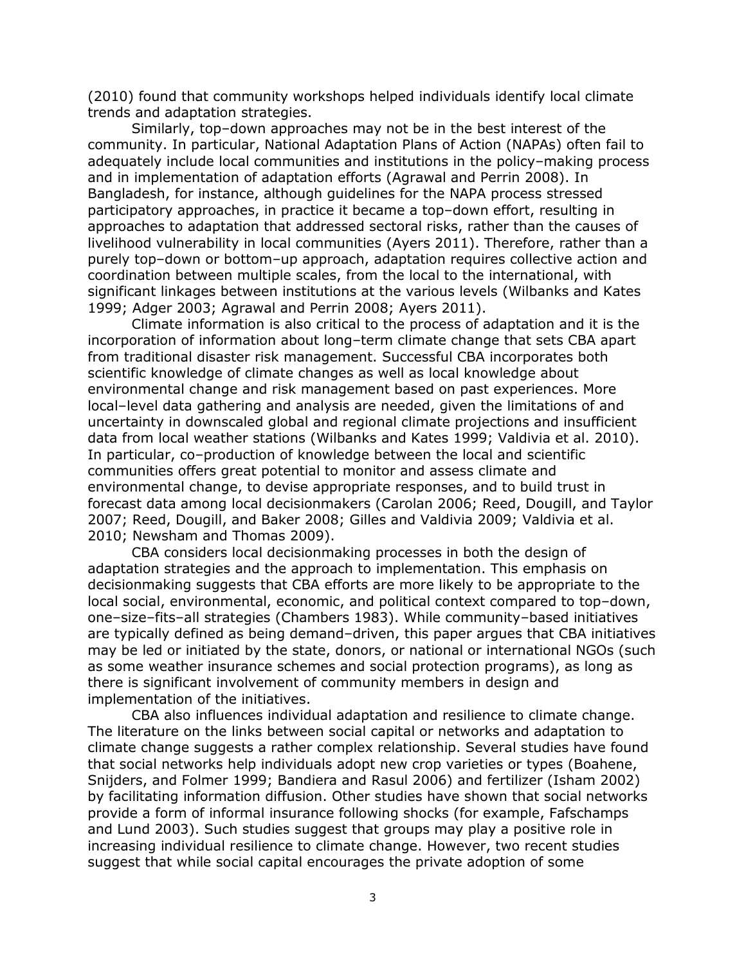(2010) found that community workshops helped individuals identify local climate trends and adaptation strategies.

Similarly, top–down approaches may not be in the best interest of the community. In particular, National Adaptation Plans of Action (NAPAs) often fail to adequately include local communities and institutions in the policy–making process and in implementation of adaptation efforts (Agrawal and Perrin 2008). In Bangladesh, for instance, although guidelines for the NAPA process stressed participatory approaches, in practice it became a top–down effort, resulting in approaches to adaptation that addressed sectoral risks, rather than the causes of livelihood vulnerability in local communities (Ayers 2011). Therefore, rather than a purely top–down or bottom–up approach, adaptation requires collective action and coordination between multiple scales, from the local to the international, with significant linkages between institutions at the various levels (Wilbanks and Kates 1999; Adger 2003; Agrawal and Perrin 2008; Ayers 2011).

Climate information is also critical to the process of adaptation and it is the incorporation of information about long–term climate change that sets CBA apart from traditional disaster risk management. Successful CBA incorporates both scientific knowledge of climate changes as well as local knowledge about environmental change and risk management based on past experiences. More local–level data gathering and analysis are needed, given the limitations of and uncertainty in downscaled global and regional climate projections and insufficient data from local weather stations (Wilbanks and Kates 1999; Valdivia et al. 2010). In particular, co–production of knowledge between the local and scientific communities offers great potential to monitor and assess climate and environmental change, to devise appropriate responses, and to build trust in forecast data among local decisionmakers (Carolan 2006; Reed, Dougill, and Taylor 2007; Reed, Dougill, and Baker 2008; Gilles and Valdivia 2009; Valdivia et al. 2010; Newsham and Thomas 2009).

CBA considers local decisionmaking processes in both the design of adaptation strategies and the approach to implementation. This emphasis on decisionmaking suggests that CBA efforts are more likely to be appropriate to the local social, environmental, economic, and political context compared to top–down, one–size–fits–all strategies (Chambers 1983). While community–based initiatives are typically defined as being demand–driven, this paper argues that CBA initiatives may be led or initiated by the state, donors, or national or international NGOs (such as some weather insurance schemes and social protection programs), as long as there is significant involvement of community members in design and implementation of the initiatives.

CBA also influences individual adaptation and resilience to climate change. The literature on the links between social capital or networks and adaptation to climate change suggests a rather complex relationship. Several studies have found that social networks help individuals adopt new crop varieties or types (Boahene, Snijders, and Folmer 1999; Bandiera and Rasul 2006) and fertilizer (Isham 2002) by facilitating information diffusion. Other studies have shown that social networks provide a form of informal insurance following shocks (for example, Fafschamps and Lund 2003). Such studies suggest that groups may play a positive role in increasing individual resilience to climate change. However, two recent studies suggest that while social capital encourages the private adoption of some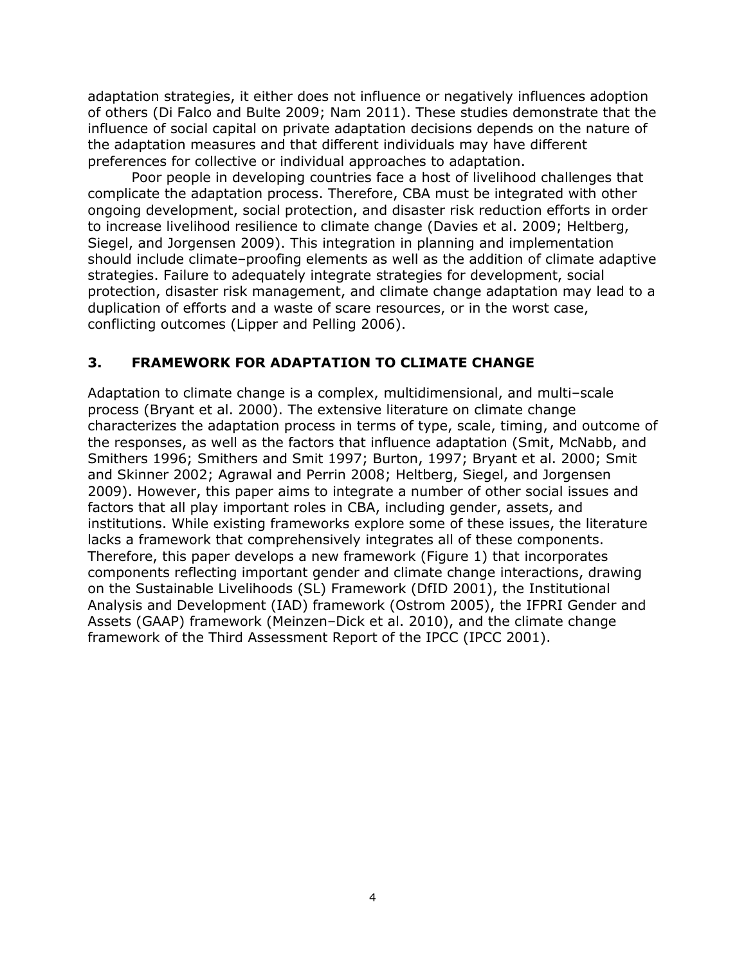adaptation strategies, it either does not influence or negatively influences adoption of others (Di Falco and Bulte 2009; Nam 2011). These studies demonstrate that the influence of social capital on private adaptation decisions depends on the nature of the adaptation measures and that different individuals may have different preferences for collective or individual approaches to adaptation.

Poor people in developing countries face a host of livelihood challenges that complicate the adaptation process. Therefore, CBA must be integrated with other ongoing development, social protection, and disaster risk reduction efforts in order to increase livelihood resilience to climate change (Davies et al. 2009; Heltberg, Siegel, and Jorgensen 2009). This integration in planning and implementation should include climate–proofing elements as well as the addition of climate adaptive strategies. Failure to adequately integrate strategies for development, social protection, disaster risk management, and climate change adaptation may lead to a duplication of efforts and a waste of scare resources, or in the worst case, conflicting outcomes (Lipper and Pelling 2006).

### <span id="page-8-0"></span>**3. FRAMEWORK FOR ADAPTATION TO CLIMATE CHANGE**

Adaptation to climate change is a complex, multidimensional, and multi–scale process (Bryant et al. 2000). The extensive literature on climate change characterizes the adaptation process in terms of type, scale, timing, and outcome of the responses, as well as the factors that influence adaptation (Smit, McNabb, and Smithers 1996; Smithers and Smit 1997; Burton, 1997; Bryant et al. 2000; Smit and Skinner 2002; Agrawal and Perrin 2008; Heltberg, Siegel, and Jorgensen 2009). However, this paper aims to integrate a number of other social issues and factors that all play important roles in CBA, including gender, assets, and institutions. While existing frameworks explore some of these issues, the literature lacks a framework that comprehensively integrates all of these components. Therefore, this paper develops a new framework (Figure 1) that incorporates components reflecting important gender and climate change interactions, drawing on the Sustainable Livelihoods (SL) Framework (DfID 2001), the Institutional Analysis and Development (IAD) framework (Ostrom 2005), the IFPRI Gender and Assets (GAAP) framework (Meinzen–Dick et al. 2010), and the climate change framework of the Third Assessment Report of the IPCC (IPCC 2001).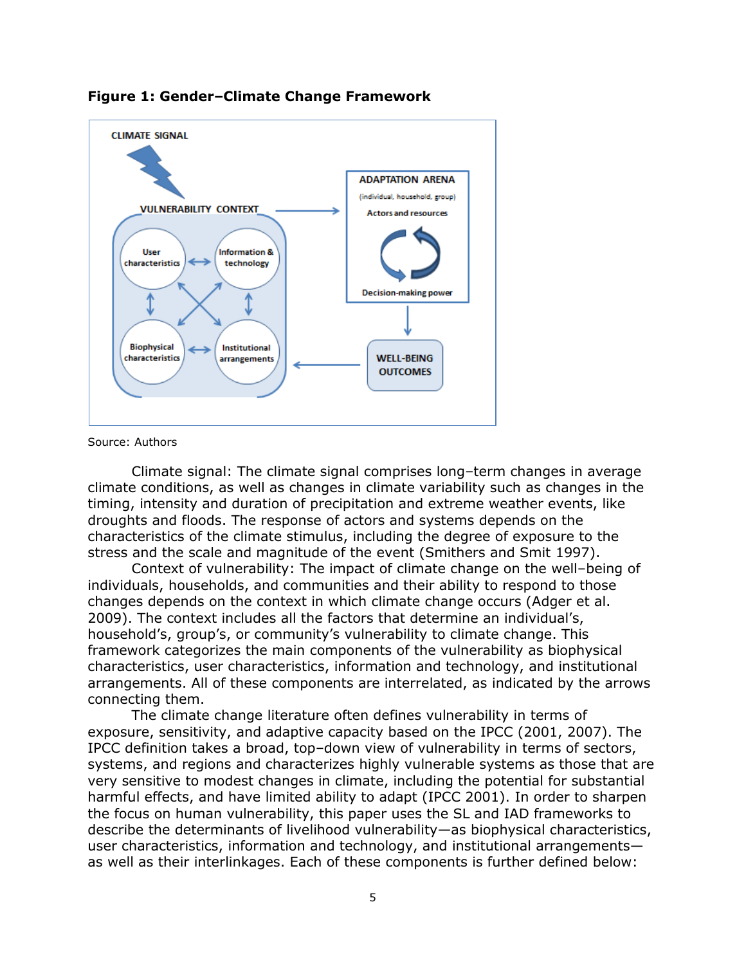



Source: Authors

Climate signal: The climate signal comprises long–term changes in average climate conditions, as well as changes in climate variability such as changes in the timing, intensity and duration of precipitation and extreme weather events, like droughts and floods. The response of actors and systems depends on the characteristics of the climate stimulus, including the degree of exposure to the stress and the scale and magnitude of the event (Smithers and Smit 1997).

Context of vulnerability: The impact of climate change on the well–being of individuals, households, and communities and their ability to respond to those changes depends on the context in which climate change occurs (Adger et al. 2009). The context includes all the factors that determine an individual's, household's, group's, or community's vulnerability to climate change. This framework categorizes the main components of the vulnerability as biophysical characteristics, user characteristics, information and technology, and institutional arrangements. All of these components are interrelated, as indicated by the arrows connecting them.

The climate change literature often defines vulnerability in terms of exposure, sensitivity, and adaptive capacity based on the IPCC (2001, 2007). The IPCC definition takes a broad, top–down view of vulnerability in terms of sectors, systems, and regions and characterizes highly vulnerable systems as those that are very sensitive to modest changes in climate, including the potential for substantial harmful effects, and have limited ability to adapt (IPCC 2001). In order to sharpen the focus on human vulnerability, this paper uses the SL and IAD frameworks to describe the determinants of livelihood vulnerability—as biophysical characteristics, user characteristics, information and technology, and institutional arrangements as well as their interlinkages. Each of these components is further defined below: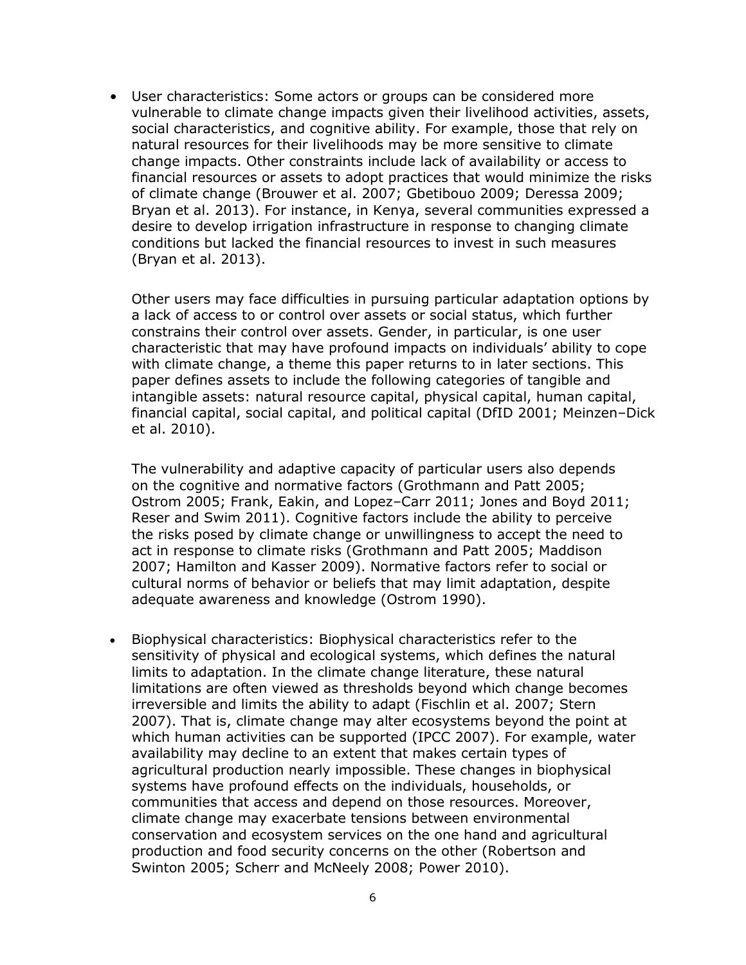• User characteristics: Some actors or groups can be considered more vulnerable to climate change impacts given their livelihood activities, assets, social characteristics, and cognitive ability. For example, those that rely on natural resources for their livelihoods may be more sensitive to climate change impacts. Other constraints include lack of availability or access to financial resources or assets to adopt practices that would minimize the risks of climate change (Brouwer et al. 2007; Gbetibouo 2009; Deressa 2009; Bryan et al. 2013). For instance, in Kenya, several communities expressed a desire to develop irrigation infrastructure in response to changing climate conditions but lacked the financial resources to invest in such measures (Bryan et al. 2013).

Other users may face difficulties in pursuing particular adaptation options by a lack of access to or control over assets or social status, which further constrains their control over assets. Gender, in particular, is one user characteristic that may have profound impacts on individuals' ability to cope with climate change, a theme this paper returns to in later sections. This paper defines assets to include the following categories of tangible and intangible assets: natural resource capital, physical capital, human capital, financial capital, social capital, and political capital (DfID 2001; Meinzen–Dick et al. 2010).

The vulnerability and adaptive capacity of particular users also depends on the cognitive and normative factors (Grothmann and Patt 2005; Ostrom 2005; Frank, Eakin, and Lopez–Carr 2011; Jones and Boyd 2011; Reser and Swim 2011). Cognitive factors include the ability to perceive the risks posed by climate change or unwillingness to accept the need to act in response to climate risks (Grothmann and Patt 2005; Maddison 2007; Hamilton and Kasser 2009). Normative factors refer to social or cultural norms of behavior or beliefs that may limit adaptation, despite adequate awareness and knowledge (Ostrom 1990).

 Biophysical characteristics: Biophysical characteristics refer to the sensitivity of physical and ecological systems, which defines the natural limits to adaptation. In the climate change literature, these natural limitations are often viewed as thresholds beyond which change becomes irreversible and limits the ability to adapt (Fischlin et al. 2007; Stern 2007). That is, climate change may alter ecosystems beyond the point at which human activities can be supported (IPCC 2007). For example, water availability may decline to an extent that makes certain types of agricultural production nearly impossible. These changes in biophysical systems have profound effects on the individuals, households, or communities that access and depend on those resources. Moreover, climate change may exacerbate tensions between environmental conservation and ecosystem services on the one hand and agricultural production and food security concerns on the other (Robertson and Swinton 2005; Scherr and McNeely 2008; Power 2010).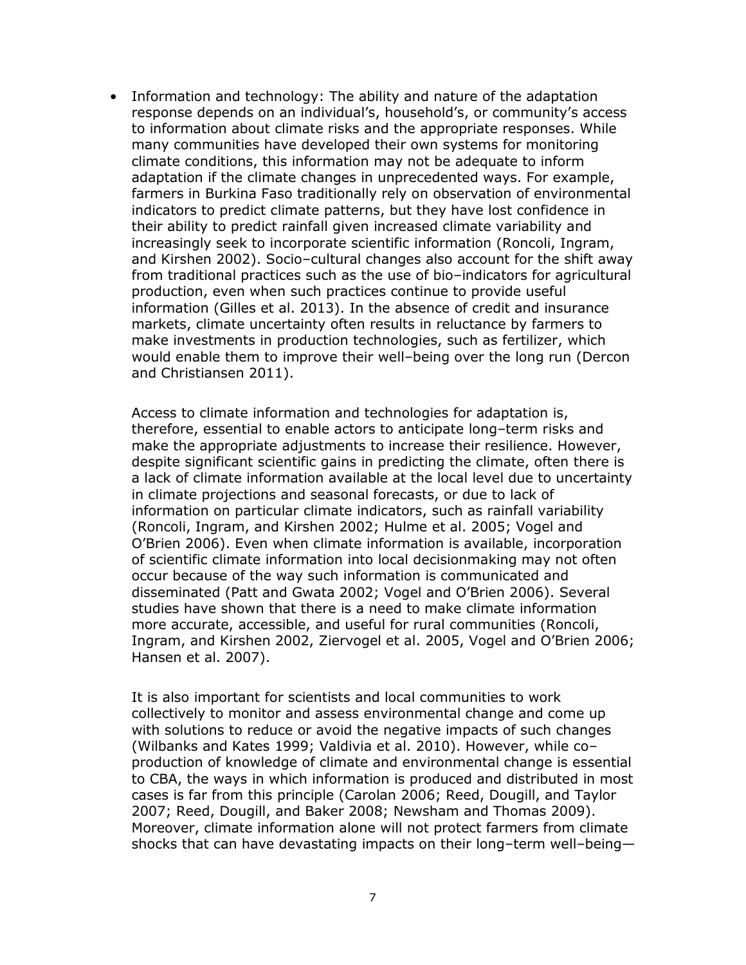• Information and technology: The ability and nature of the adaptation response depends on an individual's, household's, or community's access to information about climate risks and the appropriate responses. While many communities have developed their own systems for monitoring climate conditions, this information may not be adequate to inform adaptation if the climate changes in unprecedented ways. For example, farmers in Burkina Faso traditionally rely on observation of environmental indicators to predict climate patterns, but they have lost confidence in their ability to predict rainfall given increased climate variability and increasingly seek to incorporate scientific information (Roncoli, Ingram, and Kirshen 2002). Socio–cultural changes also account for the shift away from traditional practices such as the use of bio–indicators for agricultural production, even when such practices continue to provide useful information (Gilles et al. 2013). In the absence of credit and insurance markets, climate uncertainty often results in reluctance by farmers to make investments in production technologies, such as fertilizer, which would enable them to improve their well–being over the long run (Dercon and Christiansen 2011).

Access to climate information and technologies for adaptation is, therefore, essential to enable actors to anticipate long–term risks and make the appropriate adjustments to increase their resilience. However, despite significant scientific gains in predicting the climate, often there is a lack of climate information available at the local level due to uncertainty in climate projections and seasonal forecasts, or due to lack of information on particular climate indicators, such as rainfall variability (Roncoli, Ingram, and Kirshen 2002; Hulme et al. 2005; Vogel and O'Brien 2006). Even when climate information is available, incorporation of scientific climate information into local decisionmaking may not often occur because of the way such information is communicated and disseminated (Patt and Gwata 2002; Vogel and O'Brien 2006). Several studies have shown that there is a need to make climate information more accurate, accessible, and useful for rural communities (Roncoli, Ingram, and Kirshen 2002, Ziervogel et al. 2005, Vogel and O'Brien 2006; Hansen et al. 2007).

It is also important for scientists and local communities to work collectively to monitor and assess environmental change and come up with solutions to reduce or avoid the negative impacts of such changes (Wilbanks and Kates 1999; Valdivia et al. 2010). However, while co– production of knowledge of climate and environmental change is essential to CBA, the ways in which information is produced and distributed in most cases is far from this principle (Carolan 2006; Reed, Dougill, and Taylor 2007; Reed, Dougill, and Baker 2008; Newsham and Thomas 2009). Moreover, climate information alone will not protect farmers from climate shocks that can have devastating impacts on their long–term well–being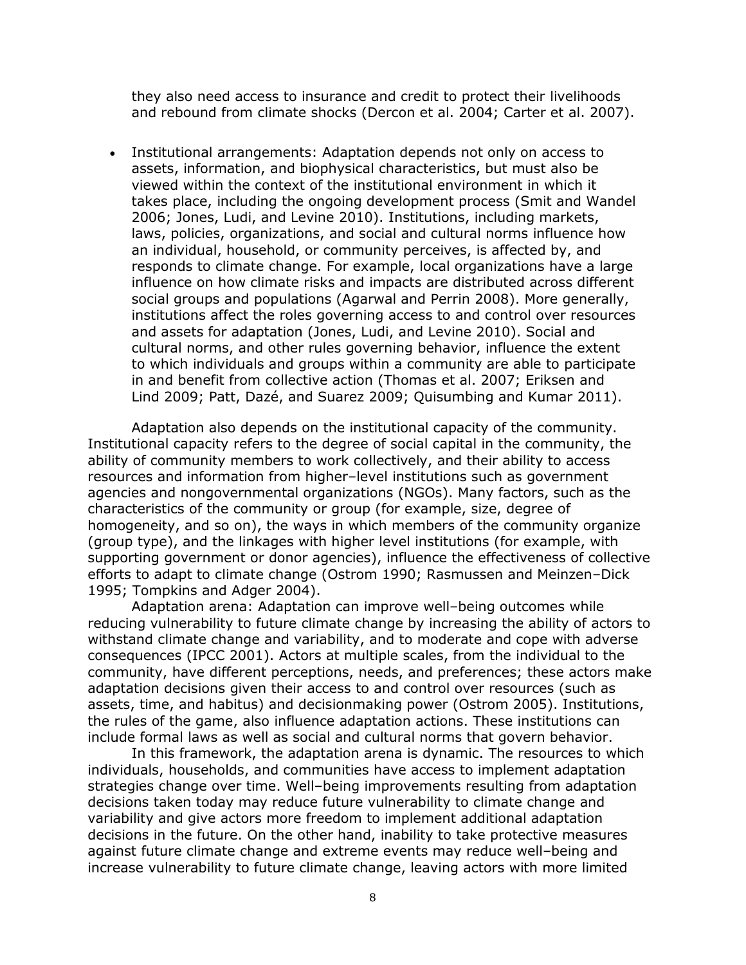they also need access to insurance and credit to protect their livelihoods and rebound from climate shocks (Dercon et al. 2004; Carter et al. 2007).

 Institutional arrangements: Adaptation depends not only on access to assets, information, and biophysical characteristics, but must also be viewed within the context of the institutional environment in which it takes place, including the ongoing development process (Smit and Wandel 2006; Jones, Ludi, and Levine 2010). Institutions, including markets, laws, policies, organizations, and social and cultural norms influence how an individual, household, or community perceives, is affected by, and responds to climate change. For example, local organizations have a large influence on how climate risks and impacts are distributed across different social groups and populations (Agarwal and Perrin 2008). More generally, institutions affect the roles governing access to and control over resources and assets for adaptation (Jones, Ludi, and Levine 2010). Social and cultural norms, and other rules governing behavior, influence the extent to which individuals and groups within a community are able to participate in and benefit from collective action (Thomas et al. 2007; Eriksen and Lind 2009; Patt, Dazé, and Suarez 2009; Quisumbing and Kumar 2011).

Adaptation also depends on the institutional capacity of the community. Institutional capacity refers to the degree of social capital in the community, the ability of community members to work collectively, and their ability to access resources and information from higher–level institutions such as government agencies and nongovernmental organizations (NGOs). Many factors, such as the characteristics of the community or group (for example, size, degree of homogeneity, and so on), the ways in which members of the community organize (group type), and the linkages with higher level institutions (for example, with supporting government or donor agencies), influence the effectiveness of collective efforts to adapt to climate change (Ostrom 1990; Rasmussen and Meinzen–Dick 1995; Tompkins and Adger 2004).

Adaptation arena: Adaptation can improve well–being outcomes while reducing vulnerability to future climate change by increasing the ability of actors to withstand climate change and variability, and to moderate and cope with adverse consequences (IPCC 2001). Actors at multiple scales, from the individual to the community, have different perceptions, needs, and preferences; these actors make adaptation decisions given their access to and control over resources (such as assets, time, and habitus) and decisionmaking power (Ostrom 2005). Institutions, the rules of the game, also influence adaptation actions. These institutions can include formal laws as well as social and cultural norms that govern behavior.

In this framework, the adaptation arena is dynamic. The resources to which individuals, households, and communities have access to implement adaptation strategies change over time. Well–being improvements resulting from adaptation decisions taken today may reduce future vulnerability to climate change and variability and give actors more freedom to implement additional adaptation decisions in the future. On the other hand, inability to take protective measures against future climate change and extreme events may reduce well–being and increase vulnerability to future climate change, leaving actors with more limited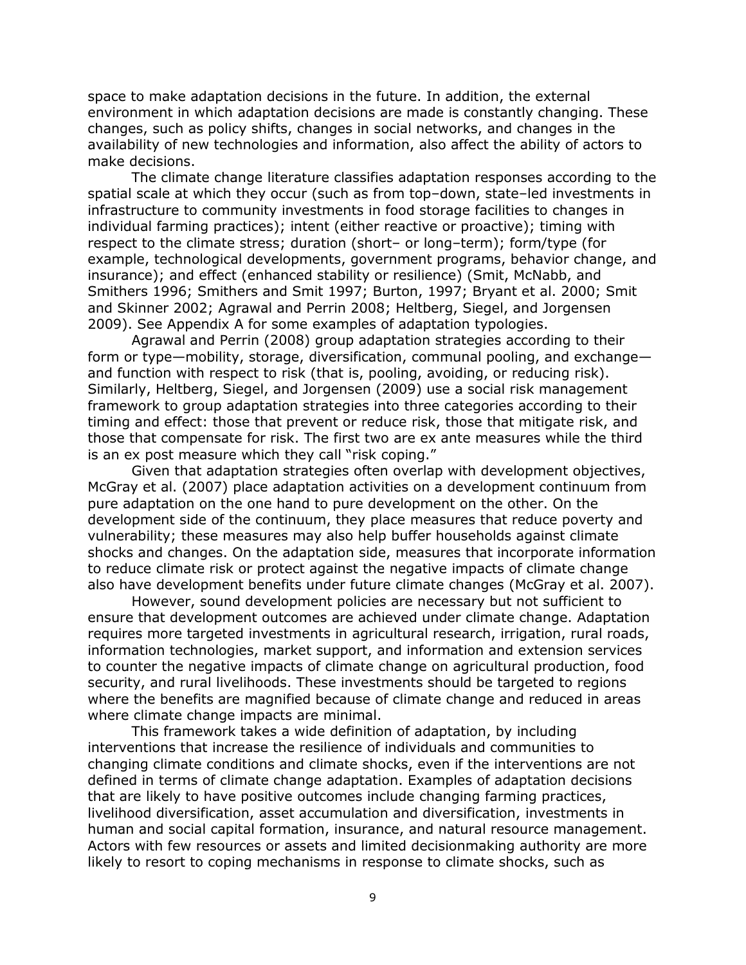space to make adaptation decisions in the future. In addition, the external environment in which adaptation decisions are made is constantly changing. These changes, such as policy shifts, changes in social networks, and changes in the availability of new technologies and information, also affect the ability of actors to make decisions.

The climate change literature classifies adaptation responses according to the spatial scale at which they occur (such as from top–down, state–led investments in infrastructure to community investments in food storage facilities to changes in individual farming practices); intent (either reactive or proactive); timing with respect to the climate stress; duration (short– or long–term); form/type (for example, technological developments, government programs, behavior change, and insurance); and effect (enhanced stability or resilience) (Smit, McNabb, and Smithers 1996; Smithers and Smit 1997; Burton, 1997; Bryant et al. 2000; Smit and Skinner 2002; Agrawal and Perrin 2008; Heltberg, Siegel, and Jorgensen 2009). See Appendix A for some examples of adaptation typologies.

Agrawal and Perrin (2008) group adaptation strategies according to their form or type—mobility, storage, diversification, communal pooling, and exchange and function with respect to risk (that is, pooling, avoiding, or reducing risk). Similarly, Heltberg, Siegel, and Jorgensen (2009) use a social risk management framework to group adaptation strategies into three categories according to their timing and effect: those that prevent or reduce risk, those that mitigate risk, and those that compensate for risk. The first two are ex ante measures while the third is an ex post measure which they call "risk coping."

Given that adaptation strategies often overlap with development objectives, McGray et al. (2007) place adaptation activities on a development continuum from pure adaptation on the one hand to pure development on the other. On the development side of the continuum, they place measures that reduce poverty and vulnerability; these measures may also help buffer households against climate shocks and changes. On the adaptation side, measures that incorporate information to reduce climate risk or protect against the negative impacts of climate change also have development benefits under future climate changes (McGray et al. 2007).

However, sound development policies are necessary but not sufficient to ensure that development outcomes are achieved under climate change. Adaptation requires more targeted investments in agricultural research, irrigation, rural roads, information technologies, market support, and information and extension services to counter the negative impacts of climate change on agricultural production, food security, and rural livelihoods. These investments should be targeted to regions where the benefits are magnified because of climate change and reduced in areas where climate change impacts are minimal.

This framework takes a wide definition of adaptation, by including interventions that increase the resilience of individuals and communities to changing climate conditions and climate shocks, even if the interventions are not defined in terms of climate change adaptation. Examples of adaptation decisions that are likely to have positive outcomes include changing farming practices, livelihood diversification, asset accumulation and diversification, investments in human and social capital formation, insurance, and natural resource management. Actors with few resources or assets and limited decisionmaking authority are more likely to resort to coping mechanisms in response to climate shocks, such as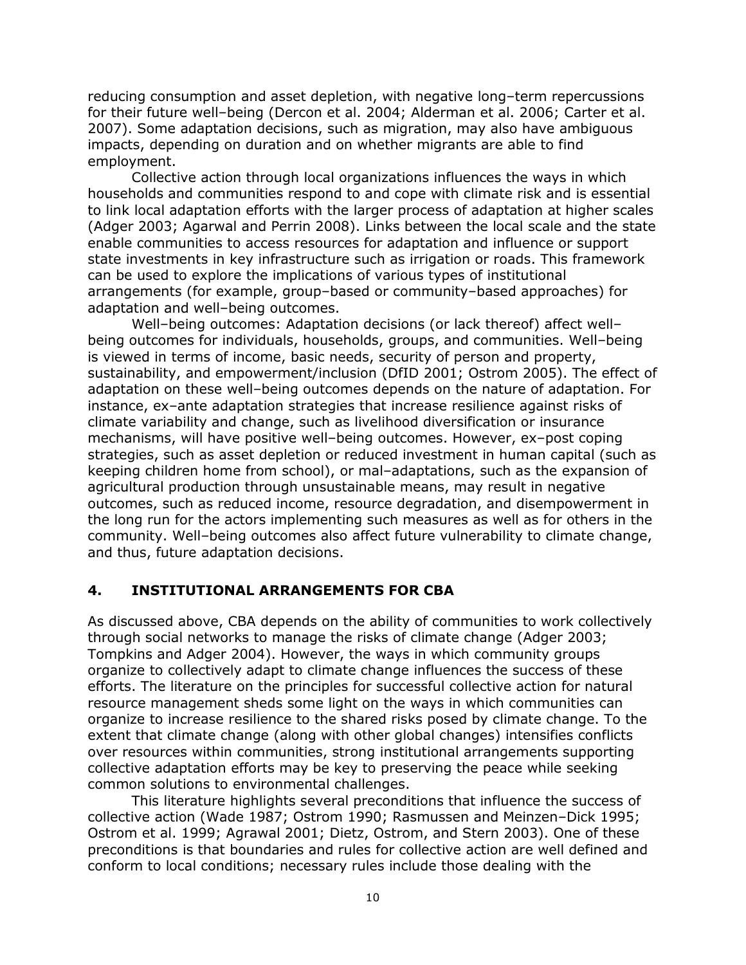reducing consumption and asset depletion, with negative long–term repercussions for their future well–being (Dercon et al. 2004; Alderman et al. 2006; Carter et al. 2007). Some adaptation decisions, such as migration, may also have ambiguous impacts, depending on duration and on whether migrants are able to find employment.

Collective action through local organizations influences the ways in which households and communities respond to and cope with climate risk and is essential to link local adaptation efforts with the larger process of adaptation at higher scales (Adger 2003; Agarwal and Perrin 2008). Links between the local scale and the state enable communities to access resources for adaptation and influence or support state investments in key infrastructure such as irrigation or roads. This framework can be used to explore the implications of various types of institutional arrangements (for example, group–based or community–based approaches) for adaptation and well–being outcomes.

Well–being outcomes: Adaptation decisions (or lack thereof) affect well– being outcomes for individuals, households, groups, and communities. Well–being is viewed in terms of income, basic needs, security of person and property, sustainability, and empowerment/inclusion (DfID 2001; Ostrom 2005). The effect of adaptation on these well–being outcomes depends on the nature of adaptation. For instance, ex–ante adaptation strategies that increase resilience against risks of climate variability and change, such as livelihood diversification or insurance mechanisms, will have positive well–being outcomes. However, ex–post coping strategies, such as asset depletion or reduced investment in human capital (such as keeping children home from school), or mal–adaptations, such as the expansion of agricultural production through unsustainable means, may result in negative outcomes, such as reduced income, resource degradation, and disempowerment in the long run for the actors implementing such measures as well as for others in the community. Well–being outcomes also affect future vulnerability to climate change, and thus, future adaptation decisions.

#### <span id="page-14-0"></span>**4. INSTITUTIONAL ARRANGEMENTS FOR CBA**

As discussed above, CBA depends on the ability of communities to work collectively through social networks to manage the risks of climate change (Adger 2003; Tompkins and Adger 2004). However, the ways in which community groups organize to collectively adapt to climate change influences the success of these efforts. The literature on the principles for successful collective action for natural resource management sheds some light on the ways in which communities can organize to increase resilience to the shared risks posed by climate change. To the extent that climate change (along with other global changes) intensifies conflicts over resources within communities, strong institutional arrangements supporting collective adaptation efforts may be key to preserving the peace while seeking common solutions to environmental challenges.

This literature highlights several preconditions that influence the success of collective action (Wade 1987; Ostrom 1990; Rasmussen and Meinzen–Dick 1995; Ostrom et al. 1999; Agrawal 2001; Dietz, Ostrom, and Stern 2003). One of these preconditions is that boundaries and rules for collective action are well defined and conform to local conditions; necessary rules include those dealing with the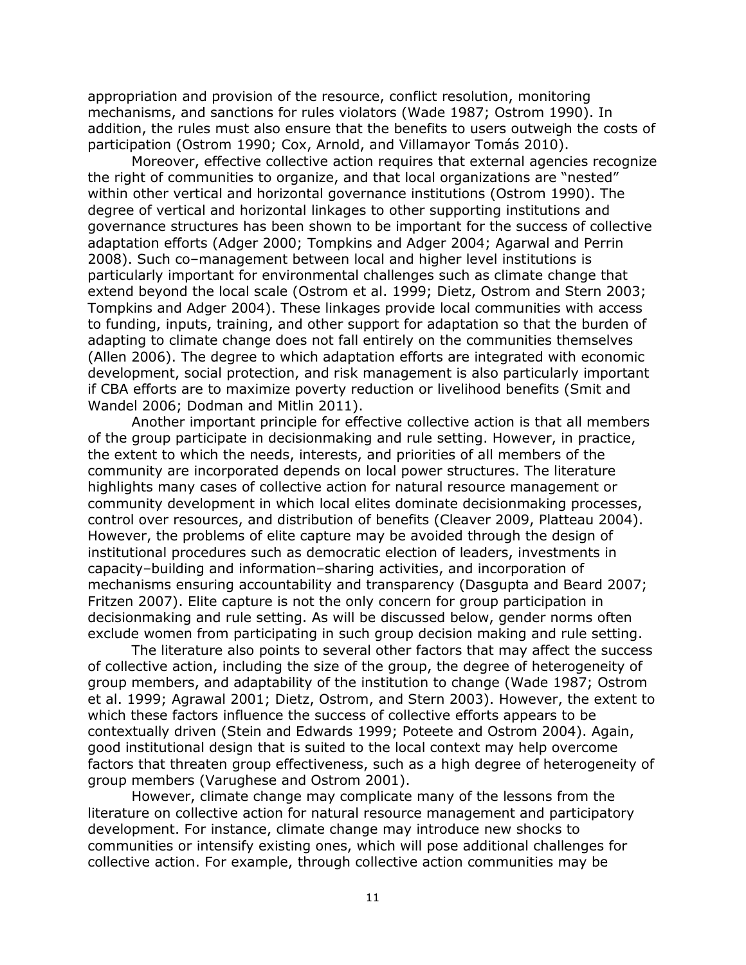appropriation and provision of the resource, conflict resolution, monitoring mechanisms, and sanctions for rules violators (Wade 1987; Ostrom 1990). In addition, the rules must also ensure that the benefits to users outweigh the costs of participation (Ostrom 1990; Cox, Arnold, and Villamayor Tomás 2010).

Moreover, effective collective action requires that external agencies recognize the right of communities to organize, and that local organizations are "nested" within other vertical and horizontal governance institutions (Ostrom 1990). The degree of vertical and horizontal linkages to other supporting institutions and governance structures has been shown to be important for the success of collective adaptation efforts (Adger 2000; Tompkins and Adger 2004; Agarwal and Perrin 2008). Such co–management between local and higher level institutions is particularly important for environmental challenges such as climate change that extend beyond the local scale (Ostrom et al. 1999; Dietz, Ostrom and Stern 2003; Tompkins and Adger 2004). These linkages provide local communities with access to funding, inputs, training, and other support for adaptation so that the burden of adapting to climate change does not fall entirely on the communities themselves (Allen 2006). The degree to which adaptation efforts are integrated with economic development, social protection, and risk management is also particularly important if CBA efforts are to maximize poverty reduction or livelihood benefits (Smit and Wandel 2006; Dodman and Mitlin 2011).

Another important principle for effective collective action is that all members of the group participate in decisionmaking and rule setting. However, in practice, the extent to which the needs, interests, and priorities of all members of the community are incorporated depends on local power structures. The literature highlights many cases of collective action for natural resource management or community development in which local elites dominate decisionmaking processes, control over resources, and distribution of benefits (Cleaver 2009, Platteau 2004). However, the problems of elite capture may be avoided through the design of institutional procedures such as democratic election of leaders, investments in capacity–building and information–sharing activities, and incorporation of mechanisms ensuring accountability and transparency (Dasgupta and Beard 2007; Fritzen 2007). Elite capture is not the only concern for group participation in decisionmaking and rule setting. As will be discussed below, gender norms often exclude women from participating in such group decision making and rule setting.

The literature also points to several other factors that may affect the success of collective action, including the size of the group, the degree of heterogeneity of group members, and adaptability of the institution to change (Wade 1987; Ostrom et al. 1999; Agrawal 2001; Dietz, Ostrom, and Stern 2003). However, the extent to which these factors influence the success of collective efforts appears to be contextually driven (Stein and Edwards 1999; Poteete and Ostrom 2004). Again, good institutional design that is suited to the local context may help overcome factors that threaten group effectiveness, such as a high degree of heterogeneity of group members (Varughese and Ostrom 2001).

However, climate change may complicate many of the lessons from the literature on collective action for natural resource management and participatory development. For instance, climate change may introduce new shocks to communities or intensify existing ones, which will pose additional challenges for collective action. For example, through collective action communities may be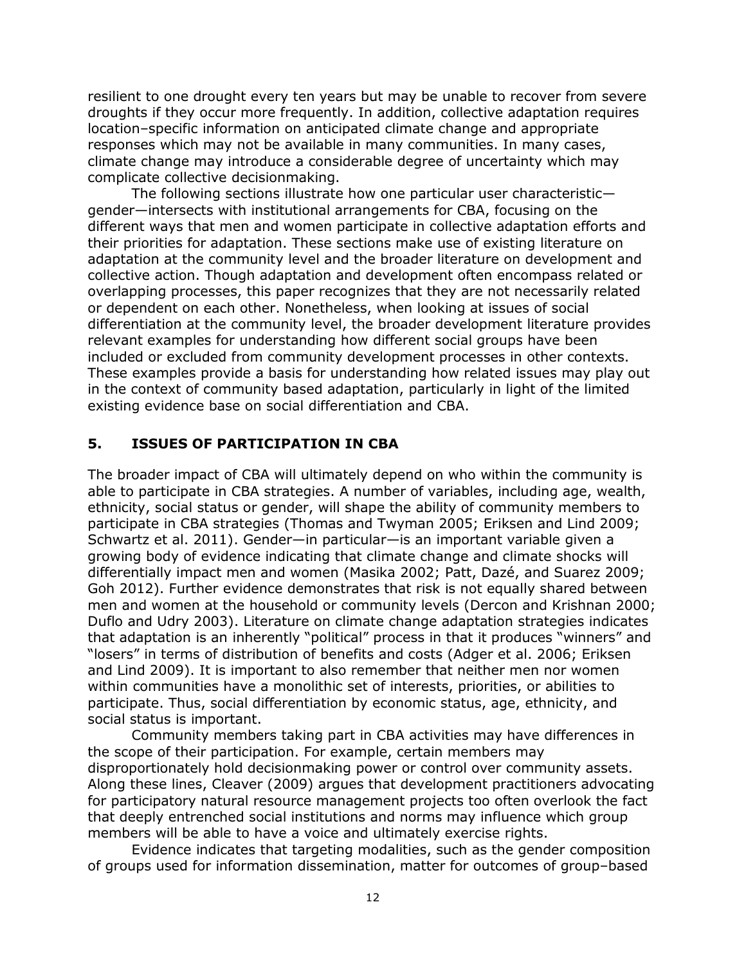resilient to one drought every ten years but may be unable to recover from severe droughts if they occur more frequently. In addition, collective adaptation requires location–specific information on anticipated climate change and appropriate responses which may not be available in many communities. In many cases, climate change may introduce a considerable degree of uncertainty which may complicate collective decisionmaking.

The following sections illustrate how one particular user characteristic gender—intersects with institutional arrangements for CBA, focusing on the different ways that men and women participate in collective adaptation efforts and their priorities for adaptation. These sections make use of existing literature on adaptation at the community level and the broader literature on development and collective action. Though adaptation and development often encompass related or overlapping processes, this paper recognizes that they are not necessarily related or dependent on each other. Nonetheless, when looking at issues of social differentiation at the community level, the broader development literature provides relevant examples for understanding how different social groups have been included or excluded from community development processes in other contexts. These examples provide a basis for understanding how related issues may play out in the context of community based adaptation, particularly in light of the limited existing evidence base on social differentiation and CBA.

#### <span id="page-16-0"></span>**5. ISSUES OF PARTICIPATION IN CBA**

The broader impact of CBA will ultimately depend on who within the community is able to participate in CBA strategies. A number of variables, including age, wealth, ethnicity, social status or gender, will shape the ability of community members to participate in CBA strategies (Thomas and Twyman 2005; Eriksen and Lind 2009; Schwartz et al. 2011). Gender—in particular—is an important variable given a growing body of evidence indicating that climate change and climate shocks will differentially impact men and women (Masika 2002; Patt, Dazé, and Suarez 2009; Goh 2012). Further evidence demonstrates that risk is not equally shared between men and women at the household or community levels (Dercon and Krishnan 2000; Duflo and Udry 2003). Literature on climate change adaptation strategies indicates that adaptation is an inherently "political" process in that it produces "winners" and "losers" in terms of distribution of benefits and costs (Adger et al. 2006; Eriksen and Lind 2009). It is important to also remember that neither men nor women within communities have a monolithic set of interests, priorities, or abilities to participate. Thus, social differentiation by economic status, age, ethnicity, and social status is important.

Community members taking part in CBA activities may have differences in the scope of their participation. For example, certain members may disproportionately hold decisionmaking power or control over community assets. Along these lines, Cleaver (2009) argues that development practitioners advocating for participatory natural resource management projects too often overlook the fact that deeply entrenched social institutions and norms may influence which group members will be able to have a voice and ultimately exercise rights.

Evidence indicates that targeting modalities, such as the gender composition of groups used for information dissemination, matter for outcomes of group–based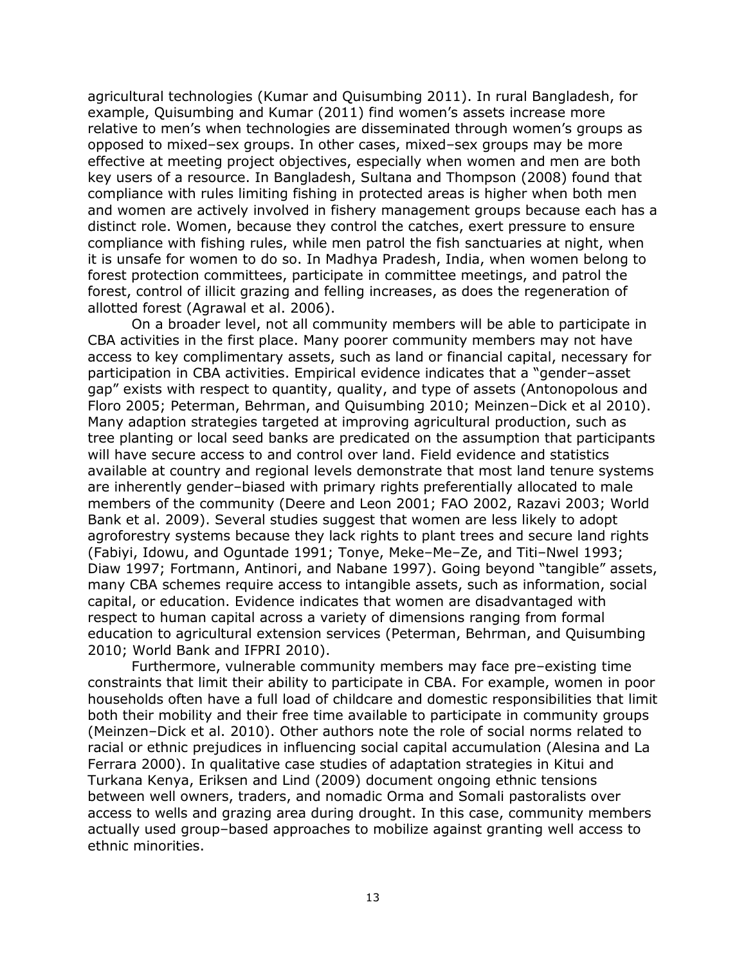agricultural technologies (Kumar and Quisumbing 2011). In rural Bangladesh, for example, Quisumbing and Kumar (2011) find women's assets increase more relative to men's when technologies are disseminated through women's groups as opposed to mixed–sex groups. In other cases, mixed–sex groups may be more effective at meeting project objectives, especially when women and men are both key users of a resource. In Bangladesh, Sultana and Thompson (2008) found that compliance with rules limiting fishing in protected areas is higher when both men and women are actively involved in fishery management groups because each has a distinct role. Women, because they control the catches, exert pressure to ensure compliance with fishing rules, while men patrol the fish sanctuaries at night, when it is unsafe for women to do so. In Madhya Pradesh, India, when women belong to forest protection committees, participate in committee meetings, and patrol the forest, control of illicit grazing and felling increases, as does the regeneration of allotted forest (Agrawal et al. 2006).

On a broader level, not all community members will be able to participate in CBA activities in the first place. Many poorer community members may not have access to key complimentary assets, such as land or financial capital, necessary for participation in CBA activities. Empirical evidence indicates that a "gender–asset gap" exists with respect to quantity, quality, and type of assets (Antonopolous and Floro 2005; Peterman, Behrman, and Quisumbing 2010; Meinzen–Dick et al 2010). Many adaption strategies targeted at improving agricultural production, such as tree planting or local seed banks are predicated on the assumption that participants will have secure access to and control over land. Field evidence and statistics available at country and regional levels demonstrate that most land tenure systems are inherently gender–biased with primary rights preferentially allocated to male members of the community (Deere and Leon 2001; FAO 2002, Razavi 2003; World Bank et al. 2009). Several studies suggest that women are less likely to adopt agroforestry systems because they lack rights to plant trees and secure land rights (Fabiyi, Idowu, and Oguntade 1991; Tonye, Meke–Me–Ze, and Titi–Nwel 1993; Diaw 1997; Fortmann, Antinori, and Nabane 1997). Going beyond "tangible" assets, many CBA schemes require access to intangible assets, such as information, social capital, or education. Evidence indicates that women are disadvantaged with respect to human capital across a variety of dimensions ranging from formal education to agricultural extension services (Peterman, Behrman, and Quisumbing 2010; World Bank and IFPRI 2010).

Furthermore, vulnerable community members may face pre–existing time constraints that limit their ability to participate in CBA. For example, women in poor households often have a full load of childcare and domestic responsibilities that limit both their mobility and their free time available to participate in community groups (Meinzen–Dick et al. 2010). Other authors note the role of social norms related to racial or ethnic prejudices in influencing social capital accumulation (Alesina and La Ferrara 2000). In qualitative case studies of adaptation strategies in Kitui and Turkana Kenya, Eriksen and Lind (2009) document ongoing ethnic tensions between well owners, traders, and nomadic Orma and Somali pastoralists over access to wells and grazing area during drought. In this case, community members actually used group–based approaches to mobilize against granting well access to ethnic minorities.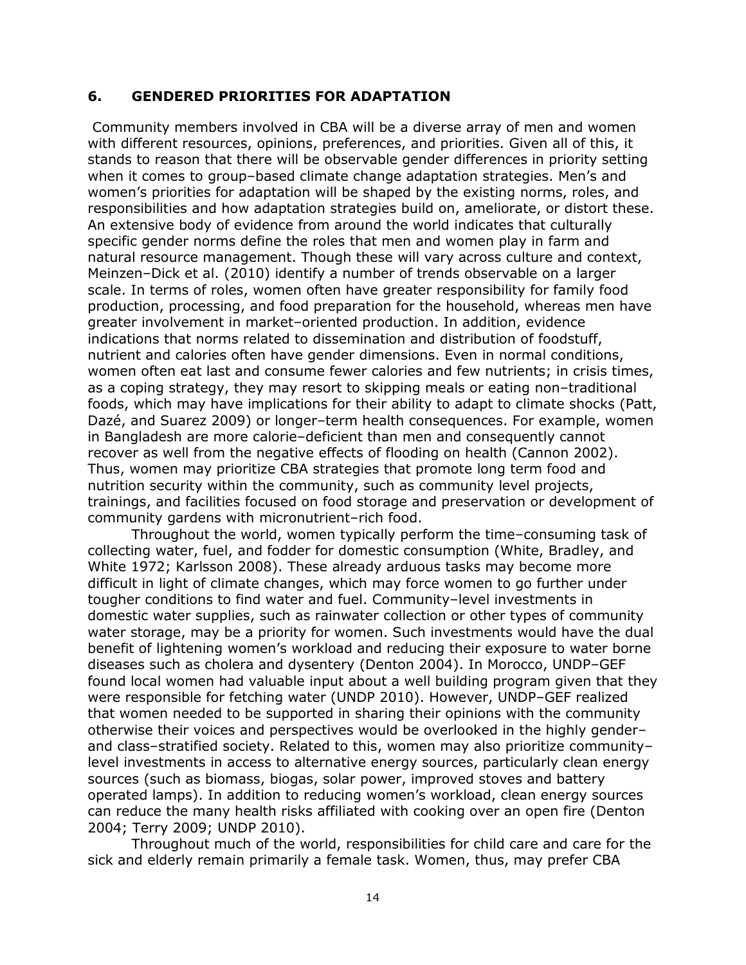#### <span id="page-18-0"></span>**6. GENDERED PRIORITIES FOR ADAPTATION**

Community members involved in CBA will be a diverse array of men and women with different resources, opinions, preferences, and priorities. Given all of this, it stands to reason that there will be observable gender differences in priority setting when it comes to group–based climate change adaptation strategies. Men's and women's priorities for adaptation will be shaped by the existing norms, roles, and responsibilities and how adaptation strategies build on, ameliorate, or distort these. An extensive body of evidence from around the world indicates that culturally specific gender norms define the roles that men and women play in farm and natural resource management. Though these will vary across culture and context, Meinzen–Dick et al. (2010) identify a number of trends observable on a larger scale. In terms of roles, women often have greater responsibility for family food production, processing, and food preparation for the household, whereas men have greater involvement in market–oriented production. In addition, evidence indications that norms related to dissemination and distribution of foodstuff, nutrient and calories often have gender dimensions. Even in normal conditions, women often eat last and consume fewer calories and few nutrients; in crisis times, as a coping strategy, they may resort to skipping meals or eating non–traditional foods, which may have implications for their ability to adapt to climate shocks (Patt, Dazé, and Suarez 2009) or longer–term health consequences. For example, women in Bangladesh are more calorie–deficient than men and consequently cannot recover as well from the negative effects of flooding on health (Cannon 2002). Thus, women may prioritize CBA strategies that promote long term food and nutrition security within the community, such as community level projects, trainings, and facilities focused on food storage and preservation or development of community gardens with micronutrient–rich food.

Throughout the world, women typically perform the time–consuming task of collecting water, fuel, and fodder for domestic consumption (White, Bradley, and White 1972; Karlsson 2008). These already arduous tasks may become more difficult in light of climate changes, which may force women to go further under tougher conditions to find water and fuel. Community–level investments in domestic water supplies, such as rainwater collection or other types of community water storage, may be a priority for women. Such investments would have the dual benefit of lightening women's workload and reducing their exposure to water borne diseases such as cholera and dysentery (Denton 2004). In Morocco, UNDP–GEF found local women had valuable input about a well building program given that they were responsible for fetching water (UNDP 2010). However, UNDP–GEF realized that women needed to be supported in sharing their opinions with the community otherwise their voices and perspectives would be overlooked in the highly gender– and class–stratified society. Related to this, women may also prioritize community– level investments in access to alternative energy sources, particularly clean energy sources (such as biomass, biogas, solar power, improved stoves and battery operated lamps). In addition to reducing women's workload, clean energy sources can reduce the many health risks affiliated with cooking over an open fire (Denton 2004; Terry 2009; UNDP 2010).

Throughout much of the world, responsibilities for child care and care for the sick and elderly remain primarily a female task. Women, thus, may prefer CBA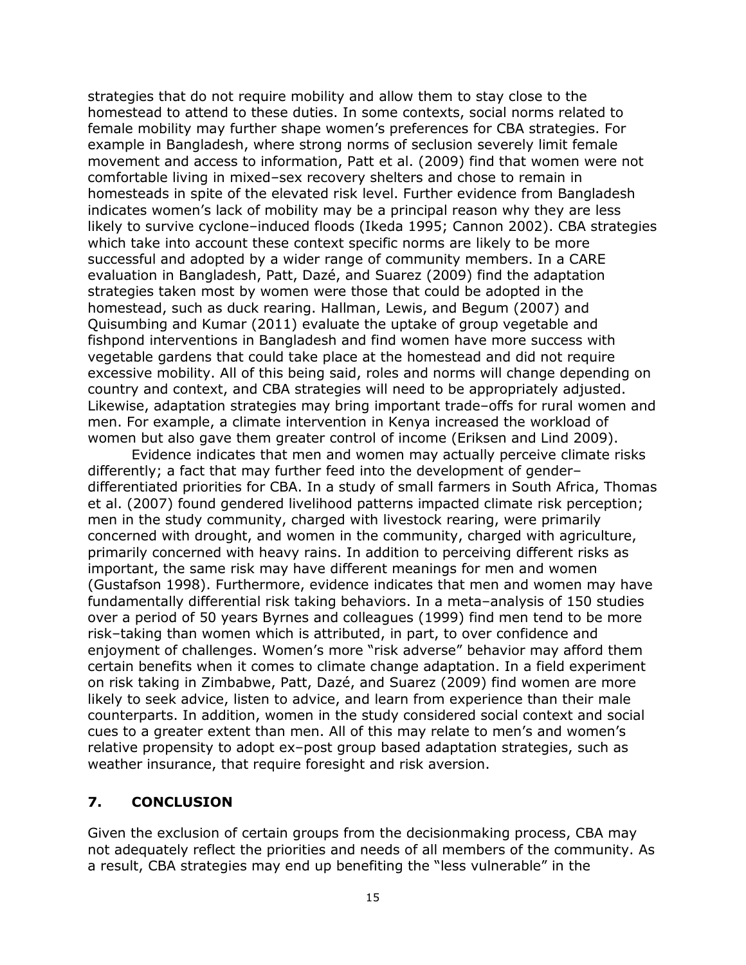strategies that do not require mobility and allow them to stay close to the homestead to attend to these duties. In some contexts, social norms related to female mobility may further shape women's preferences for CBA strategies. For example in Bangladesh, where strong norms of seclusion severely limit female movement and access to information, Patt et al. (2009) find that women were not comfortable living in mixed–sex recovery shelters and chose to remain in homesteads in spite of the elevated risk level. Further evidence from Bangladesh indicates women's lack of mobility may be a principal reason why they are less likely to survive cyclone–induced floods (Ikeda 1995; Cannon 2002). CBA strategies which take into account these context specific norms are likely to be more successful and adopted by a wider range of community members. In a CARE evaluation in Bangladesh, Patt, Dazé, and Suarez (2009) find the adaptation strategies taken most by women were those that could be adopted in the homestead, such as duck rearing. Hallman, Lewis, and Begum (2007) and Quisumbing and Kumar (2011) evaluate the uptake of group vegetable and fishpond interventions in Bangladesh and find women have more success with vegetable gardens that could take place at the homestead and did not require excessive mobility. All of this being said, roles and norms will change depending on country and context, and CBA strategies will need to be appropriately adjusted. Likewise, adaptation strategies may bring important trade–offs for rural women and men. For example, a climate intervention in Kenya increased the workload of women but also gave them greater control of income (Eriksen and Lind 2009).

Evidence indicates that men and women may actually perceive climate risks differently; a fact that may further feed into the development of gender– differentiated priorities for CBA. In a study of small farmers in South Africa, Thomas et al. (2007) found gendered livelihood patterns impacted climate risk perception; men in the study community, charged with livestock rearing, were primarily concerned with drought, and women in the community, charged with agriculture, primarily concerned with heavy rains. In addition to perceiving different risks as important, the same risk may have different meanings for men and women (Gustafson 1998). Furthermore, evidence indicates that men and women may have fundamentally differential risk taking behaviors. In a meta–analysis of 150 studies over a period of 50 years Byrnes and colleagues (1999) find men tend to be more risk–taking than women which is attributed, in part, to over confidence and enjoyment of challenges. Women's more "risk adverse" behavior may afford them certain benefits when it comes to climate change adaptation. In a field experiment on risk taking in Zimbabwe, Patt, Dazé, and Suarez (2009) find women are more likely to seek advice, listen to advice, and learn from experience than their male counterparts. In addition, women in the study considered social context and social cues to a greater extent than men. All of this may relate to men's and women's relative propensity to adopt ex–post group based adaptation strategies, such as weather insurance, that require foresight and risk aversion.

## <span id="page-19-0"></span>**7. CONCLUSION**

Given the exclusion of certain groups from the decisionmaking process, CBA may not adequately reflect the priorities and needs of all members of the community. As a result, CBA strategies may end up benefiting the "less vulnerable" in the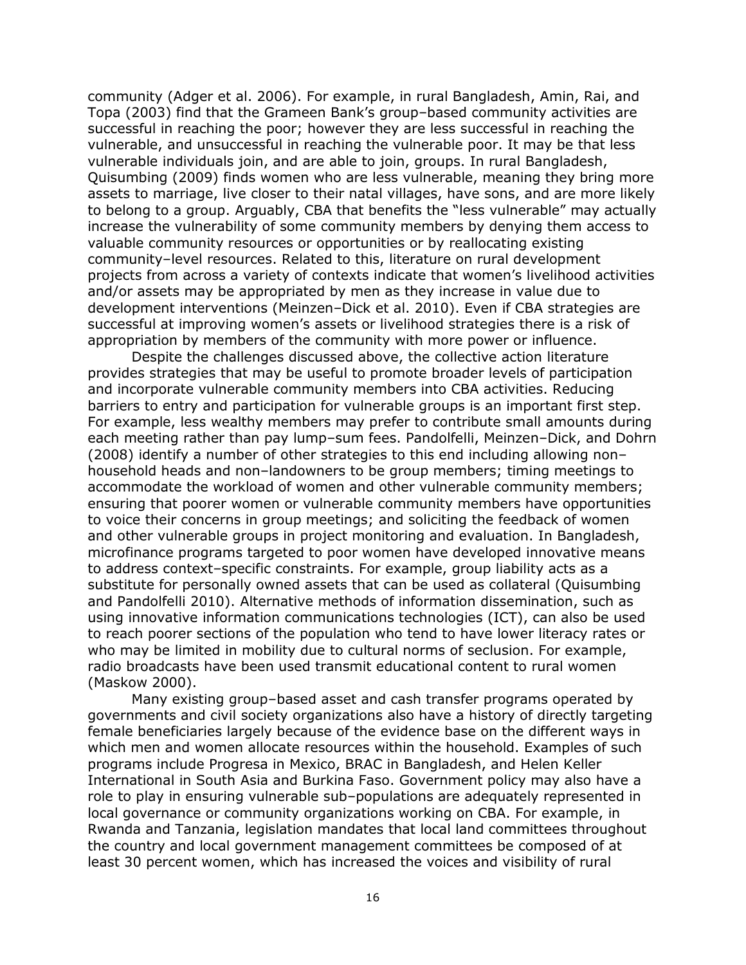community (Adger et al. 2006). For example, in rural Bangladesh, Amin, Rai, and Topa (2003) find that the Grameen Bank's group–based community activities are successful in reaching the poor; however they are less successful in reaching the vulnerable, and unsuccessful in reaching the vulnerable poor. It may be that less vulnerable individuals join, and are able to join, groups. In rural Bangladesh, Quisumbing (2009) finds women who are less vulnerable, meaning they bring more assets to marriage, live closer to their natal villages, have sons, and are more likely to belong to a group. Arguably, CBA that benefits the "less vulnerable" may actually increase the vulnerability of some community members by denying them access to valuable community resources or opportunities or by reallocating existing community–level resources. Related to this, literature on rural development projects from across a variety of contexts indicate that women's livelihood activities and/or assets may be appropriated by men as they increase in value due to development interventions (Meinzen–Dick et al. 2010). Even if CBA strategies are successful at improving women's assets or livelihood strategies there is a risk of appropriation by members of the community with more power or influence.

Despite the challenges discussed above, the collective action literature provides strategies that may be useful to promote broader levels of participation and incorporate vulnerable community members into CBA activities. Reducing barriers to entry and participation for vulnerable groups is an important first step. For example, less wealthy members may prefer to contribute small amounts during each meeting rather than pay lump–sum fees. Pandolfelli, Meinzen–Dick, and Dohrn (2008) identify a number of other strategies to this end including allowing non– household heads and non–landowners to be group members; timing meetings to accommodate the workload of women and other vulnerable community members; ensuring that poorer women or vulnerable community members have opportunities to voice their concerns in group meetings; and soliciting the feedback of women and other vulnerable groups in project monitoring and evaluation. In Bangladesh, microfinance programs targeted to poor women have developed innovative means to address context–specific constraints. For example, group liability acts as a substitute for personally owned assets that can be used as collateral (Quisumbing and Pandolfelli 2010). Alternative methods of information dissemination, such as using innovative information communications technologies (ICT), can also be used to reach poorer sections of the population who tend to have lower literacy rates or who may be limited in mobility due to cultural norms of seclusion. For example, radio broadcasts have been used transmit educational content to rural women (Maskow 2000).

Many existing group–based asset and cash transfer programs operated by governments and civil society organizations also have a history of directly targeting female beneficiaries largely because of the evidence base on the different ways in which men and women allocate resources within the household. Examples of such programs include Progresa in Mexico, BRAC in Bangladesh, and Helen Keller International in South Asia and Burkina Faso. Government policy may also have a role to play in ensuring vulnerable sub–populations are adequately represented in local governance or community organizations working on CBA. For example, in Rwanda and Tanzania, legislation mandates that local land committees throughout the country and local government management committees be composed of at least 30 percent women, which has increased the voices and visibility of rural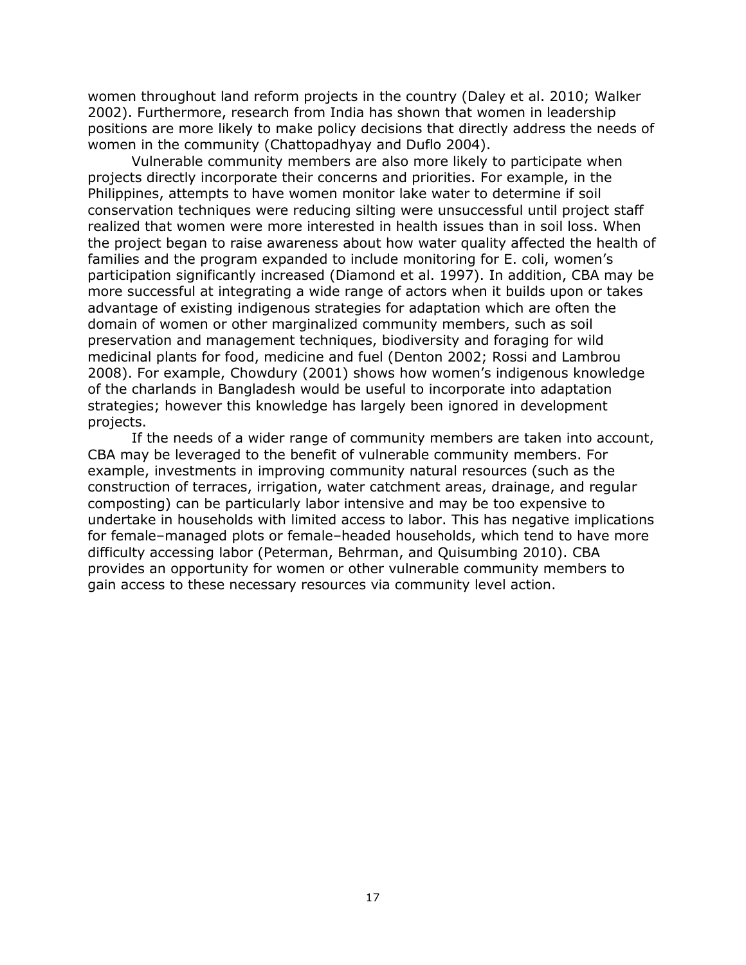women throughout land reform projects in the country (Daley et al. 2010; Walker 2002). Furthermore, research from India has shown that women in leadership positions are more likely to make policy decisions that directly address the needs of women in the community (Chattopadhyay and Duflo 2004).

Vulnerable community members are also more likely to participate when projects directly incorporate their concerns and priorities. For example, in the Philippines, attempts to have women monitor lake water to determine if soil conservation techniques were reducing silting were unsuccessful until project staff realized that women were more interested in health issues than in soil loss. When the project began to raise awareness about how water quality affected the health of families and the program expanded to include monitoring for E. coli, women's participation significantly increased (Diamond et al. 1997). In addition, CBA may be more successful at integrating a wide range of actors when it builds upon or takes advantage of existing indigenous strategies for adaptation which are often the domain of women or other marginalized community members, such as soil preservation and management techniques, biodiversity and foraging for wild medicinal plants for food, medicine and fuel (Denton 2002; Rossi and Lambrou 2008). For example, Chowdury (2001) shows how women's indigenous knowledge of the charlands in Bangladesh would be useful to incorporate into adaptation strategies; however this knowledge has largely been ignored in development projects.

<span id="page-21-0"></span>If the needs of a wider range of community members are taken into account, CBA may be leveraged to the benefit of vulnerable community members. For example, investments in improving community natural resources (such as the construction of terraces, irrigation, water catchment areas, drainage, and regular composting) can be particularly labor intensive and may be too expensive to undertake in households with limited access to labor. This has negative implications for female–managed plots or female–headed households, which tend to have more difficulty accessing labor (Peterman, Behrman, and Quisumbing 2010). CBA provides an opportunity for women or other vulnerable community members to gain access to these necessary resources via community level action.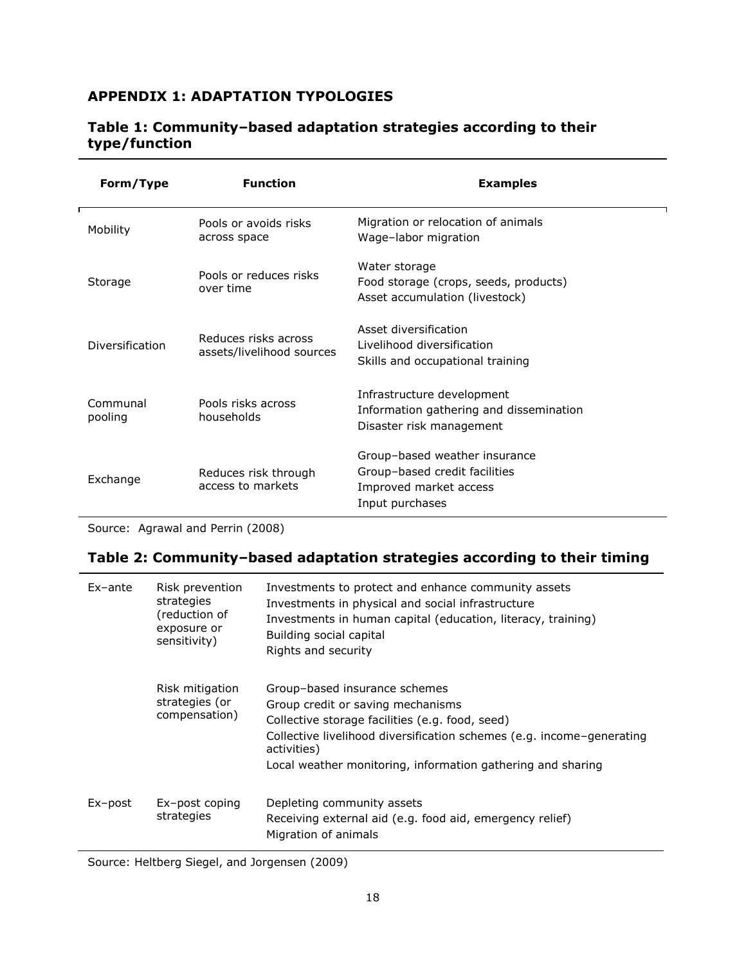## **APPENDIX 1: ADAPTATION TYPOLOGIES**

| Form/Type           | <b>Function</b>                                   | <b>Examples</b>                                                                                             |
|---------------------|---------------------------------------------------|-------------------------------------------------------------------------------------------------------------|
| Mobility            | Pools or avoids risks<br>across space             | Migration or relocation of animals<br>Wage-labor migration                                                  |
| Storage             | Pools or reduces risks<br>over time               | Water storage<br>Food storage (crops, seeds, products)<br>Asset accumulation (livestock)                    |
| Diversification     | Reduces risks across<br>assets/livelihood sources | Asset diversification<br>Livelihood diversification<br>Skills and occupational training                     |
| Communal<br>pooling | Pools risks across<br>households                  | Infrastructure development<br>Information gathering and dissemination<br>Disaster risk management           |
| Exchange            | Reduces risk through<br>access to markets         | Group-based weather insurance<br>Group-based credit facilities<br>Improved market access<br>Input purchases |

#### **Table 1: Community–based adaptation strategies according to their type/function**

Source: Agrawal and Perrin (2008)

### **Table 2: Community–based adaptation strategies according to their timing**

| Ex-ante     | Risk prevention<br>strategies<br>(reduction of<br>exposure or<br>sensitivity) | Investments to protect and enhance community assets<br>Investments in physical and social infrastructure<br>Investments in human capital (education, literacy, training)<br>Building social capital<br>Rights and security                                                   |
|-------------|-------------------------------------------------------------------------------|------------------------------------------------------------------------------------------------------------------------------------------------------------------------------------------------------------------------------------------------------------------------------|
|             | Risk mitigation<br>strategies (or<br>compensation)                            | Group-based insurance schemes<br>Group credit or saving mechanisms<br>Collective storage facilities (e.g. food, seed)<br>Collective livelihood diversification schemes (e.g. income-generating<br>activities)<br>Local weather monitoring, information gathering and sharing |
| $Ex - post$ | Ex-post coping<br>strategies                                                  | Depleting community assets<br>Receiving external aid (e.g. food aid, emergency relief)<br>Migration of animals                                                                                                                                                               |

Source: Heltberg Siegel, and Jorgensen (2009)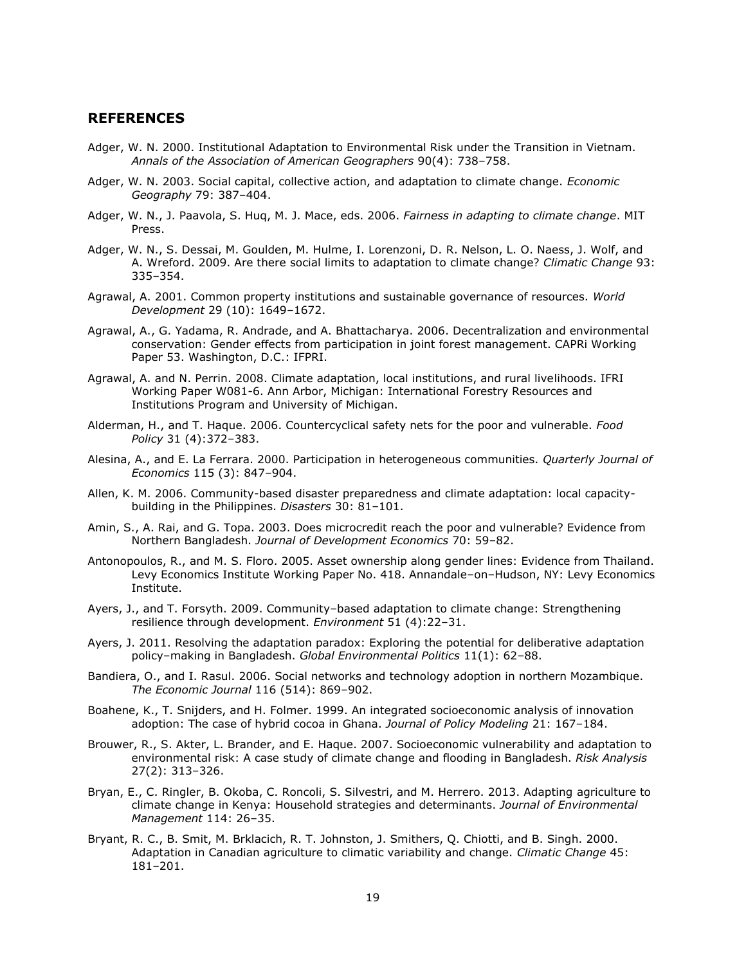#### <span id="page-23-0"></span>**REFERENCES**

- Adger, W. N. 2000. Institutional Adaptation to Environmental Risk under the Transition in Vietnam. *Annals of the Association of American Geographers* 90(4): 738–758.
- Adger, W. N. 2003. Social capital, collective action, and adaptation to climate change. *Economic Geography* 79: 387–404.
- Adger, W. N., J. Paavola, S. Huq, M. J. Mace, eds. 2006. *Fairness in adapting to climate change*. MIT Press.
- Adger, W. N., S. Dessai, M. Goulden, M. Hulme, I. Lorenzoni, D. R. Nelson, L. O. Naess, J. Wolf, and A. Wreford. 2009. Are there social limits to adaptation to climate change? *Climatic Change* 93: 335–354.
- Agrawal, A. 2001. Common property institutions and sustainable governance of resources. *World Development* 29 (10): 1649–1672.
- Agrawal, A., G. Yadama, R. Andrade, and A. Bhattacharya. 2006. Decentralization and environmental conservation: Gender effects from participation in joint forest management. CAPRi Working Paper 53. Washington, D.C.: IFPRI.
- Agrawal, A. and N. Perrin. 2008. Climate adaptation, local institutions, and rural livelihoods. IFRI Working Paper W081-6. Ann Arbor, Michigan: International Forestry Resources and Institutions Program and University of Michigan.
- Alderman, H., and T. Haque. 2006. Countercyclical safety nets for the poor and vulnerable. *Food Policy* 31 (4):372–383.
- Alesina, A., and E. La Ferrara. 2000. Participation in heterogeneous communities. *Quarterly Journal of Economics* 115 (3): 847–904.
- Allen, K. M. 2006. Community-based disaster preparedness and climate adaptation: local capacitybuilding in the Philippines. *Disasters* 30: 81–101.
- Amin, S., A. Rai, and G. Topa. 2003. Does microcredit reach the poor and vulnerable? Evidence from Northern Bangladesh. *Journal of Development Economics* 70: 59–82.
- Antonopoulos, R., and M. S. Floro. 2005. Asset ownership along gender lines: Evidence from Thailand. Levy Economics Institute Working Paper No. 418. Annandale–on–Hudson, NY: Levy Economics Institute.
- Ayers, J., and T. Forsyth. 2009. Community–based adaptation to climate change: Strengthening resilience through development. *Environment* 51 (4):22–31.
- Ayers, J. 2011. Resolving the adaptation paradox: Exploring the potential for deliberative adaptation policy–making in Bangladesh. *Global Environmental Politics* 11(1): 62–88.
- Bandiera, O., and I. Rasul. 2006. Social networks and technology adoption in northern Mozambique. *The Economic Journal* 116 (514): 869–902.
- Boahene, K., T. Snijders, and H. Folmer. 1999. An integrated socioeconomic analysis of innovation adoption: The case of hybrid cocoa in Ghana. *Journal of Policy Modeling* 21: 167–184.
- Brouwer, R., S. Akter, L. Brander, and E. Haque. 2007. Socioeconomic vulnerability and adaptation to environmental risk: A case study of climate change and flooding in Bangladesh. *Risk Analysis* 27(2): 313–326.
- Bryan, E., C. Ringler, B. Okoba, C. Roncoli, S. Silvestri, and M. Herrero. 2013. Adapting agriculture to climate change in Kenya: Household strategies and determinants. *Journal of Environmental Management* 114: 26–35.
- Bryant, R. C., B. Smit, M. Brklacich, R. T. Johnston, J. Smithers, Q. Chiotti, and B. Singh. 2000. Adaptation in Canadian agriculture to climatic variability and change. *Climatic Change* 45: 181–201.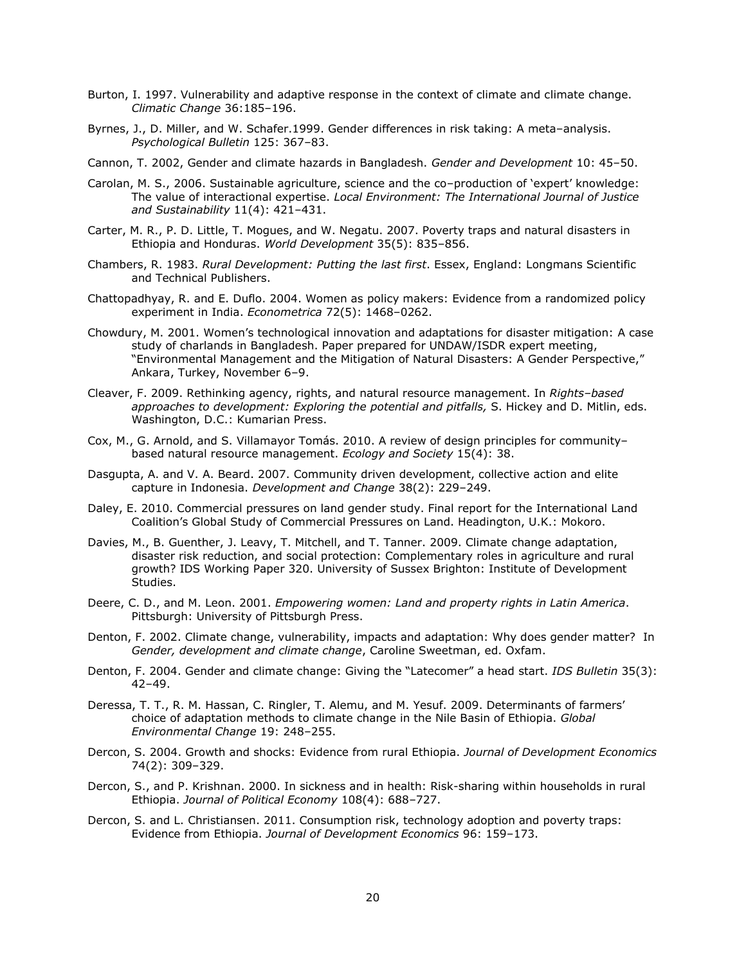- Burton, I. 1997. Vulnerability and adaptive response in the context of climate and climate change. *Climatic Change* 36:185–196.
- Byrnes, J., D. Miller, and W. Schafer.1999. Gender differences in risk taking: A meta–analysis. *Psychological Bulletin* 125: 367–83.
- Cannon, T. 2002, Gender and climate hazards in Bangladesh. *Gender and Development* 10: 45–50.
- Carolan, M. S., 2006. Sustainable agriculture, science and the co–production of 'expert' knowledge: The value of interactional expertise. *Local Environment: The International Journal of Justice and Sustainability* 11(4): 421–431.
- Carter, M. R., P. D. Little, T. Mogues, and W. Negatu. 2007. Poverty traps and natural disasters in Ethiopia and Honduras. *World Development* 35(5): 835–856.
- Chambers, R. 1983. *Rural Development: Putting the last first*. Essex, England: Longmans Scientific and Technical Publishers.
- Chattopadhyay, R. and E. Duflo. 2004. Women as policy makers: Evidence from a randomized policy experiment in India. *Econometrica* 72(5): 1468–0262.
- Chowdury, M. 2001. Women's technological innovation and adaptations for disaster mitigation: A case study of charlands in Bangladesh. Paper prepared for UNDAW/ISDR expert meeting, "Environmental Management and the Mitigation of Natural Disasters: A Gender Perspective," Ankara, Turkey, November 6–9.
- Cleaver, F. 2009. Rethinking agency, rights, and natural resource management. In *Rights–based approaches to development: Exploring the potential and pitfalls,* S. Hickey and D. Mitlin, eds. Washington, D.C.: Kumarian Press.
- Cox, M., G. Arnold, and S. Villamayor Tomás. 2010. A review of design principles for community– based natural resource management. *Ecology and Society* 15(4): 38.
- Dasgupta, A. and V. A. Beard. 2007. Community driven development, collective action and elite capture in Indonesia. *Development and Change* 38(2): 229–249.
- Daley, E. 2010. Commercial pressures on land gender study. Final report for the International Land Coalition's Global Study of Commercial Pressures on Land. Headington, U.K.: Mokoro.
- Davies, M., B. Guenther, J. Leavy, T. Mitchell, and T. Tanner. 2009. Climate change adaptation, disaster risk reduction, and social protection: Complementary roles in agriculture and rural growth? IDS Working Paper 320. University of Sussex Brighton: Institute of Development Studies.
- Deere, C. D., and M. Leon. 2001. *Empowering women: Land and property rights in Latin America*. Pittsburgh: University of Pittsburgh Press.
- Denton, F. 2002. Climate change, vulnerability, impacts and adaptation: Why does gender matter? In *Gender, development and climate change*, Caroline Sweetman, ed. Oxfam.
- Denton, F. 2004. Gender and climate change: Giving the "Latecomer" a head start. *IDS Bulletin* 35(3): 42–49.
- Deressa, T. T., R. M. Hassan, C. Ringler, T. Alemu, and M. Yesuf. 2009. Determinants of farmers' choice of adaptation methods to climate change in the Nile Basin of Ethiopia. *Global Environmental Change* 19: 248–255.
- Dercon, S. 2004. Growth and shocks: Evidence from rural Ethiopia. *Journal of Development Economics* 74(2): 309–329.
- Dercon, S., and P. Krishnan. 2000. In sickness and in health: Risk-sharing within households in rural Ethiopia. *Journal of Political Economy* 108(4): 688–727.
- Dercon, S. and L. Christiansen. 2011. Consumption risk, technology adoption and poverty traps: Evidence from Ethiopia. *Journal of Development Economics* 96: 159–173.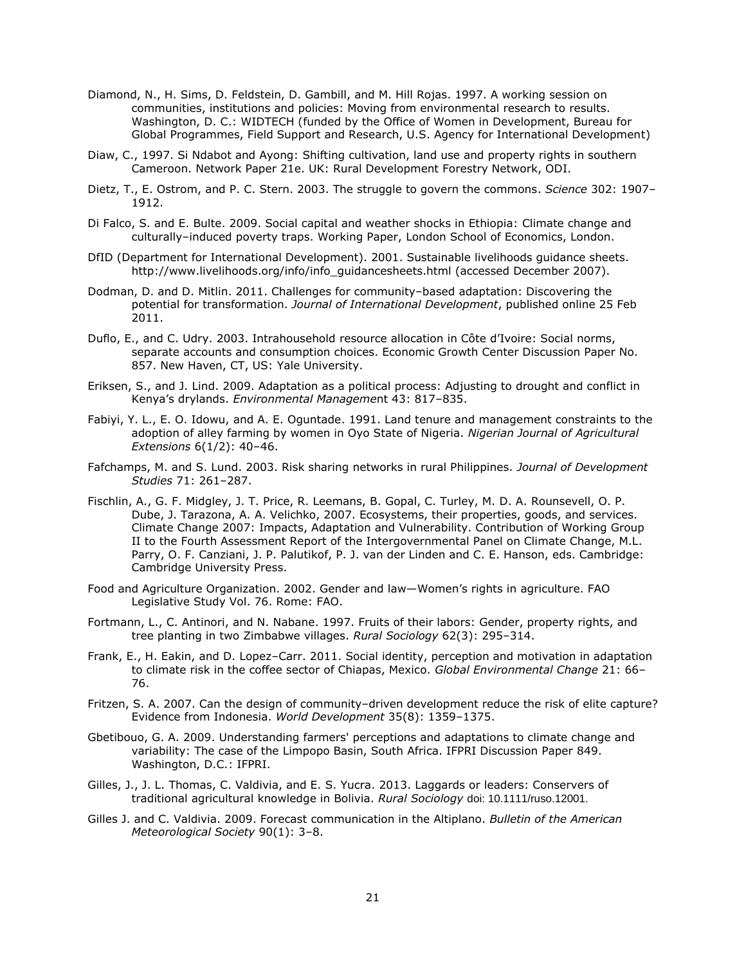- Diamond, N., H. Sims, D. Feldstein, D. Gambill, and M. Hill Rojas. 1997. A working session on communities, institutions and policies: Moving from environmental research to results. Washington, D. C.: WIDTECH (funded by the Office of Women in Development, Bureau for Global Programmes, Field Support and Research, U.S. Agency for International Development)
- Diaw, C., 1997. Si Ndabot and Ayong: Shifting cultivation, land use and property rights in southern Cameroon. Network Paper 21e. UK: Rural Development Forestry Network, ODI.
- Dietz, T., E. Ostrom, and P. C. Stern. 2003. The struggle to govern the commons. *Science* 302: 1907– 1912.
- Di Falco, S. and E. Bulte. 2009. Social capital and weather shocks in Ethiopia: Climate change and culturally–induced poverty traps. Working Paper, London School of Economics, London.
- DfID (Department for International Development). 2001. Sustainable livelihoods guidance sheets. http://www.livelihoods.org/info/info\_guidancesheets.html (accessed December 2007).
- Dodman, D. and D. Mitlin. 2011. Challenges for community–based adaptation: Discovering the potential for transformation. *Journal of International Development*, published online 25 Feb 2011.
- Duflo, E., and C. Udry. 2003. Intrahousehold resource allocation in Côte d'Ivoire: Social norms, separate accounts and consumption choices. Economic Growth Center Discussion Paper No. 857. New Haven, CT, US: Yale University.
- Eriksen, S., and J. Lind. 2009. Adaptation as a political process: Adjusting to drought and conflict in Kenya's drylands. *Environmental Manageme*nt 43: 817–835.
- Fabiyi, Y. L., E. O. Idowu, and A. E. Oguntade. 1991. Land tenure and management constraints to the adoption of alley farming by women in Oyo State of Nigeria. *Nigerian Journal of Agricultural Extensions* 6(1/2): 40–46.
- Fafchamps, M. and S. Lund. 2003. Risk sharing networks in rural Philippines. *Journal of Development Studies* 71: 261–287.
- Fischlin, A., G. F. Midgley, J. T. Price, R. Leemans, B. Gopal, C. Turley, M. D. A. Rounsevell, O. P. Dube, J. Tarazona, A. A. Velichko, 2007. Ecosystems, their properties, goods, and services. Climate Change 2007: Impacts, Adaptation and Vulnerability. Contribution of Working Group II to the Fourth Assessment Report of the Intergovernmental Panel on Climate Change, M.L. Parry, O. F. Canziani, J. P. Palutikof, P. J. van der Linden and C. E. Hanson, eds. Cambridge: Cambridge University Press.
- Food and Agriculture Organization. 2002. Gender and law—Women's rights in agriculture. FAO Legislative Study Vol. 76. Rome: FAO.
- Fortmann, L., C. Antinori, and N. Nabane. 1997. Fruits of their labors: Gender, property rights, and tree planting in two Zimbabwe villages. *Rural Sociology* 62(3): 295–314.
- Frank, E., H. Eakin, and D. Lopez–Carr. 2011. Social identity, perception and motivation in adaptation to climate risk in the coffee sector of Chiapas, Mexico. *Global Environmental Change* 21: 66– 76.
- Fritzen, S. A. 2007. Can the design of community–driven development reduce the risk of elite capture? Evidence from Indonesia. *World Development* 35(8): 1359–1375.
- Gbetibouo, G. A. 2009. Understanding farmers' perceptions and adaptations to climate change and variability: The case of the Limpopo Basin, South Africa. IFPRI Discussion Paper 849. Washington, D.C.: IFPRI.
- Gilles, J., J. L. Thomas, C. Valdivia, and E. S. Yucra. 2013. Laggards or leaders: Conservers of traditional agricultural knowledge in Bolivia. *Rural Sociology* doi: 10.1111/ruso.12001.
- Gilles J. and C. Valdivia. 2009. Forecast communication in the Altiplano. *Bulletin of the American Meteorological Society* 90(1): 3–8.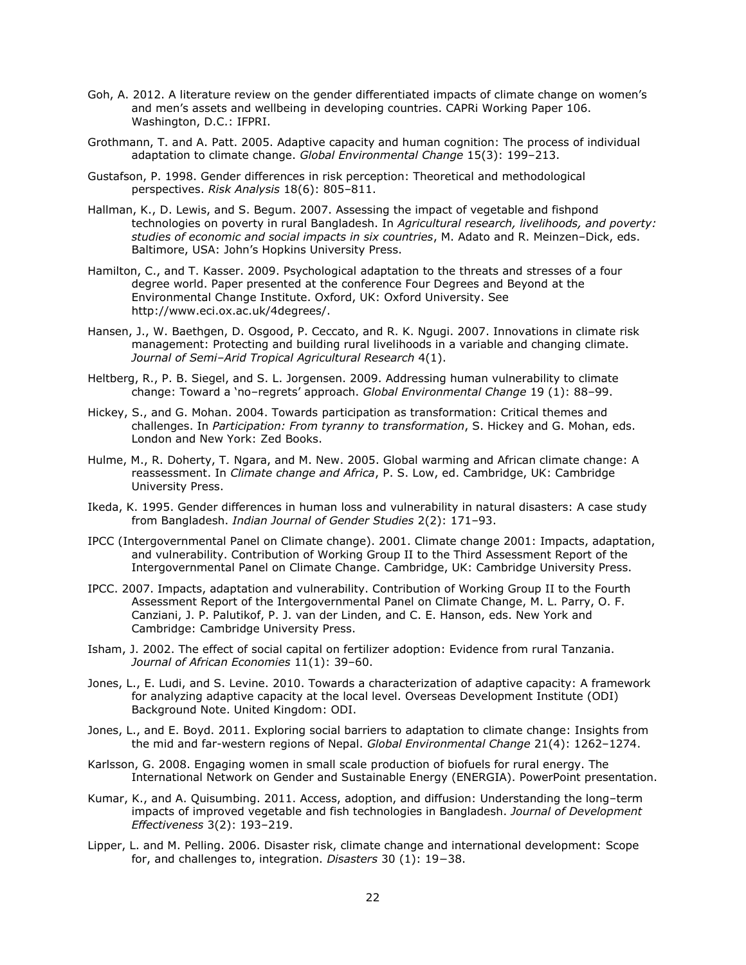- Goh, A. 2012. A literature review on the gender differentiated impacts of climate change on women's and men's assets and wellbeing in developing countries. CAPRi Working Paper 106. Washington, D.C.: IFPRI.
- Grothmann, T. and A. Patt. 2005. Adaptive capacity and human cognition: The process of individual adaptation to climate change. *Global Environmental Change* 15(3): 199–213.
- Gustafson, P. 1998. Gender differences in risk perception: Theoretical and methodological perspectives. *Risk Analysis* 18(6): 805–811.
- Hallman, K., D. Lewis, and S. Begum. 2007. Assessing the impact of vegetable and fishpond technologies on poverty in rural Bangladesh. In *Agricultural research, livelihoods, and poverty: studies of economic and social impacts in six countries*, M. Adato and R. Meinzen–Dick, eds. Baltimore, USA: John's Hopkins University Press.
- Hamilton, C., and T. Kasser. 2009. Psychological adaptation to the threats and stresses of a four degree world. Paper presented at the conference Four Degrees and Beyond at the Environmental Change Institute. Oxford, UK: Oxford University. See http://www.eci.ox.ac.uk/4degrees/.
- Hansen, J., W. Baethgen, D. Osgood, P. Ceccato, and R. K. Ngugi. 2007. Innovations in climate risk management: Protecting and building rural livelihoods in a variable and changing climate. *Journal of Semi–Arid Tropical Agricultural Research* 4(1).
- Heltberg, R., P. B. Siegel, and S. L. Jorgensen. 2009. Addressing human vulnerability to climate change: Toward a 'no–regrets' approach. *Global Environmental Change* 19 (1): 88–99.
- Hickey, S., and G. Mohan. 2004. Towards participation as transformation: Critical themes and challenges. In *Participation: From tyranny to transformation*, S. Hickey and G. Mohan, eds. London and New York: Zed Books.
- Hulme, M., R. Doherty, T. Ngara, and M. New. 2005. Global warming and African climate change: A reassessment. In *Climate change and Africa*, P. S. Low, ed. Cambridge, UK: Cambridge University Press.
- Ikeda, K. 1995. Gender differences in human loss and vulnerability in natural disasters: A case study from Bangladesh. *Indian Journal of Gender Studies* 2(2): 171–93.
- IPCC (Intergovernmental Panel on Climate change). 2001. Climate change 2001: Impacts, adaptation, and vulnerability. Contribution of Working Group II to the Third Assessment Report of the Intergovernmental Panel on Climate Change. Cambridge, UK: Cambridge University Press.
- IPCC. 2007. Impacts, adaptation and vulnerability. Contribution of Working Group II to the Fourth Assessment Report of the Intergovernmental Panel on Climate Change, M. L. Parry, O. F. Canziani, J. P. Palutikof, P. J. van der Linden, and C. E. Hanson, eds. New York and Cambridge: Cambridge University Press.
- Isham, J. 2002. The effect of social capital on fertilizer adoption: Evidence from rural Tanzania. *Journal of African Economies* 11(1): 39–60.
- Jones, L., E. Ludi, and S. Levine. 2010. Towards a characterization of adaptive capacity: A framework for analyzing adaptive capacity at the local level. Overseas Development Institute (ODI) Background Note. United Kingdom: ODI.
- Jones, L., and E. Boyd. 2011. Exploring social barriers to adaptation to climate change: Insights from the mid and far-western regions of Nepal. *Global Environmental Change* 21(4): 1262–1274.
- Karlsson, G. 2008. Engaging women in small scale production of biofuels for rural energy. The International Network on Gender and Sustainable Energy (ENERGIA). PowerPoint presentation.
- Kumar, K., and A. Quisumbing. 2011. Access, adoption, and diffusion: Understanding the long–term impacts of improved vegetable and fish technologies in Bangladesh. *Journal of Development Effectiveness* 3(2): 193–219.
- Lipper, L. and M. Pelling. 2006. Disaster risk, climate change and international development: Scope for, and challenges to, integration. *Disasters* 30 (1): 19−38.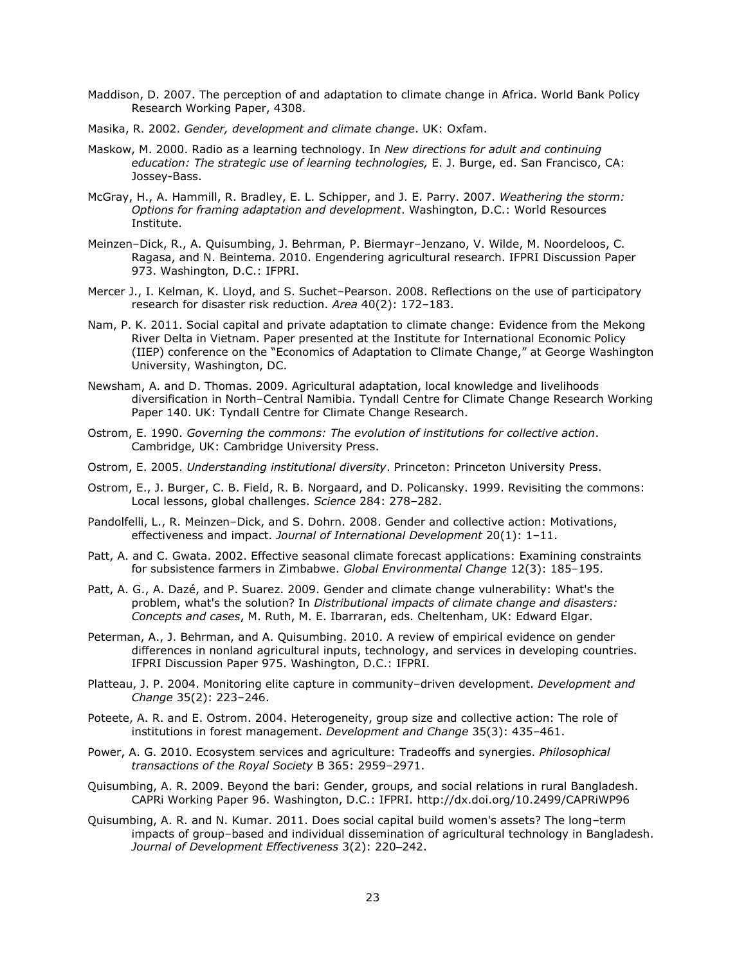- Maddison, D. 2007. The perception of and adaptation to climate change in Africa. World Bank Policy Research Working Paper, 4308.
- Masika, R. 2002. *Gender, development and climate change*. UK: Oxfam.
- Maskow, M. 2000. Radio as a learning technology. In *New directions for adult and continuing education: The strategic use of learning technologies,* E. J. Burge, ed. San Francisco, CA: Jossey-Bass.
- McGray, H., A. Hammill, R. Bradley, E. L. Schipper, and J. E. Parry. 2007. *Weathering the storm: Options for framing adaptation and development*. Washington, D.C.: World Resources Institute.
- Meinzen–Dick, R., A. Quisumbing, J. Behrman, P. Biermayr–Jenzano, V. Wilde, M. Noordeloos, C. Ragasa, and N. Beintema. 2010. Engendering agricultural research. IFPRI Discussion Paper 973. Washington, D.C.: IFPRI.
- Mercer J., I. Kelman, K. Lloyd, and S. Suchet–Pearson. 2008. Reflections on the use of participatory research for disaster risk reduction. *Area* 40(2): 172–183.
- Nam, P. K. 2011. Social capital and private adaptation to climate change: Evidence from the Mekong River Delta in Vietnam. Paper presented at the Institute for International Economic Policy (IIEP) conference on the "Economics of Adaptation to Climate Change," at George Washington University, Washington, DC.
- Newsham, A. and D. Thomas. 2009. Agricultural adaptation, local knowledge and livelihoods diversification in North–Central Namibia. Tyndall Centre for Climate Change Research Working Paper 140. UK: Tyndall Centre for Climate Change Research.
- Ostrom, E. 1990. *Governing the commons: The evolution of institutions for collective action*. Cambridge, UK: Cambridge University Press.
- Ostrom, E. 2005. *Understanding institutional diversity*. Princeton: Princeton University Press.
- Ostrom, E., J. Burger, C. B. Field, R. B. Norgaard, and D. Policansky. 1999. Revisiting the commons: Local lessons, global challenges. *Science* 284: 278–282.
- Pandolfelli, L., R. Meinzen–Dick, and S. Dohrn. 2008. Gender and collective action: Motivations, effectiveness and impact. *Journal of International Development* 20(1): 1–11.
- Patt, A. and C. Gwata. 2002. Effective seasonal climate forecast applications: Examining constraints for subsistence farmers in Zimbabwe. *Global Environmental Change* 12(3): 185–195.
- Patt, A. G., A. Dazé, and P. Suarez. 2009. Gender and climate change vulnerability: What's the problem, what's the solution? In *Distributional impacts of climate change and disasters: Concepts and cases*, M. Ruth, M. E. Ibarraran, eds. Cheltenham, UK: Edward Elgar.
- Peterman, A., J. Behrman, and A. Quisumbing. 2010. A review of empirical evidence on gender differences in nonland agricultural inputs, technology, and services in developing countries. IFPRI Discussion Paper 975. Washington, D.C.: IFPRI.
- Platteau, J. P. 2004. Monitoring elite capture in community–driven development. *Development and Change* 35(2): 223–246.
- Poteete, A. R. and E. Ostrom. 2004. Heterogeneity, group size and collective action: The role of institutions in forest management. *Development and Change* 35(3): 435–461.
- Power, A. G. 2010. Ecosystem services and agriculture: Tradeoffs and synergies. *Philosophical transactions of the Royal Society* B 365: 2959–2971.
- Quisumbing, A. R. 2009. Beyond the bari: Gender, groups, and social relations in rural Bangladesh. CAPRi Working Paper 96. Washington, D.C.: IFPRI. http://dx.doi.org/10.2499/CAPRiWP96
- Quisumbing, A. R. and N. Kumar. 2011. Does social capital build women's assets? The long–term impacts of group–based and individual dissemination of agricultural technology in Bangladesh. *Journal of Development Effectiveness* 3(2): 220–242.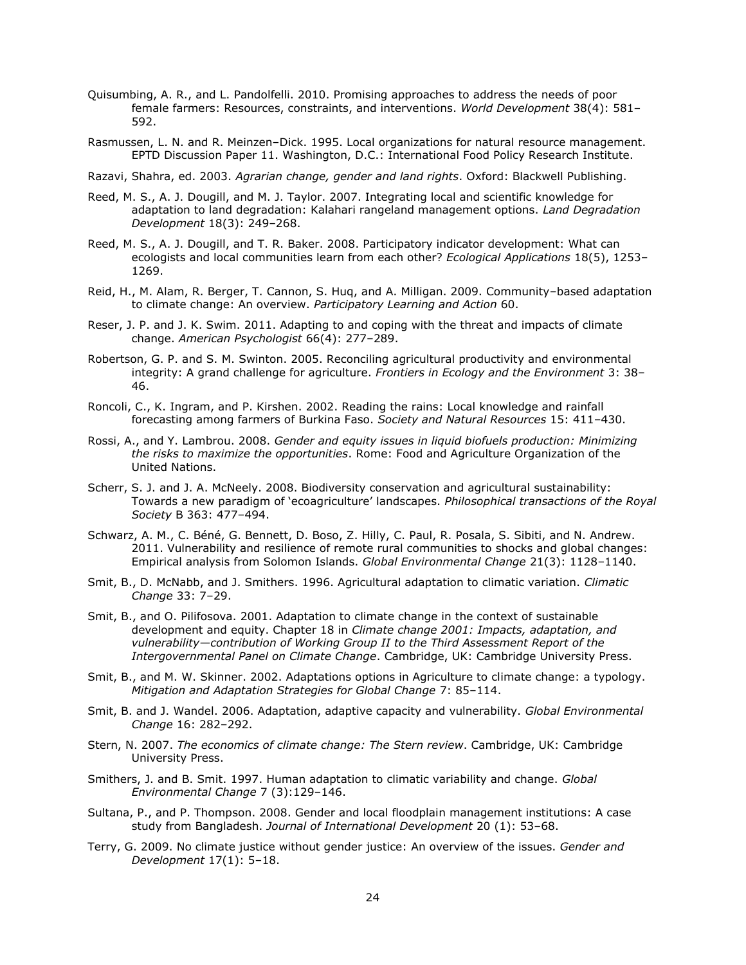- Quisumbing, A. R., and L. Pandolfelli. 2010. Promising approaches to address the needs of poor female farmers: Resources, constraints, and interventions. *World Development* 38(4): 581– 592.
- Rasmussen, L. N. and R. Meinzen–Dick. 1995. Local organizations for natural resource management. EPTD Discussion Paper 11. Washington, D.C.: International Food Policy Research Institute.
- Razavi, Shahra, ed. 2003. *Agrarian change, gender and land rights*. Oxford: Blackwell Publishing.
- Reed, M. S., A. J. Dougill, and M. J. Taylor. 2007. Integrating local and scientific knowledge for adaptation to land degradation: Kalahari rangeland management options. *Land Degradation Development* 18(3): 249–268.
- Reed, M. S., A. J. Dougill, and T. R. Baker. 2008. Participatory indicator development: What can ecologists and local communities learn from each other? *Ecological Applications* 18(5), 1253– 1269.
- Reid, H., M. Alam, R. Berger, T. Cannon, S. Huq, and A. Milligan. 2009. Community–based adaptation to climate change: An overview. *Participatory Learning and Action* 60.
- Reser, J. P. and J. K. Swim. 2011. Adapting to and coping with the threat and impacts of climate change. *American Psychologist* 66(4): 277–289.
- Robertson, G. P. and S. M. Swinton. 2005. Reconciling agricultural productivity and environmental integrity: A grand challenge for agriculture. *Frontiers in Ecology and the Environment* 3: 38– 46.
- Roncoli, C., K. Ingram, and P. Kirshen. 2002. Reading the rains: Local knowledge and rainfall forecasting among farmers of Burkina Faso. *Society and Natural Resources* 15: 411–430.
- Rossi, A., and Y. Lambrou. 2008. *Gender and equity issues in liquid biofuels production: Minimizing the risks to maximize the opportunities*. Rome: Food and Agriculture Organization of the United Nations.
- Scherr, S. J. and J. A. McNeely. 2008. Biodiversity conservation and agricultural sustainability: Towards a new paradigm of 'ecoagriculture' landscapes. *Philosophical transactions of the Royal Society* B 363: 477–494.
- Schwarz, A. M., C. Béné, G. Bennett, D. Boso, Z. Hilly, C. Paul, R. Posala, S. Sibiti, and N. Andrew. 2011. Vulnerability and resilience of remote rural communities to shocks and global changes: Empirical analysis from Solomon Islands. *Global Environmental Change* 21(3): 1128–1140.
- Smit, B., D. McNabb, and J. Smithers. 1996. Agricultural adaptation to climatic variation. *Climatic Change* 33: 7–29.
- Smit, B., and O. Pilifosova. 2001. Adaptation to climate change in the context of sustainable development and equity. Chapter 18 in *Climate change 2001: Impacts, adaptation, and vulnerability—contribution of Working Group II to the Third Assessment Report of the Intergovernmental Panel on Climate Change*. Cambridge, UK: Cambridge University Press.
- Smit, B., and M. W. Skinner. 2002. Adaptations options in Agriculture to climate change: a typology. *Mitigation and Adaptation Strategies for Global Change* 7: 85–114.
- Smit, B. and J. Wandel. 2006. Adaptation, adaptive capacity and vulnerability. *Global Environmental Change* 16: 282–292.
- Stern, N. 2007. *The economics of climate change: The Stern review*. Cambridge, UK: Cambridge University Press.
- Smithers, J. and B. Smit. 1997. Human adaptation to climatic variability and change. *Global Environmental Change* 7 (3):129–146.
- Sultana, P., and P. Thompson. 2008. Gender and local floodplain management institutions: A case study from Bangladesh. *Journal of International Development* 20 (1): 53–68.
- Terry, G. 2009. No climate justice without gender justice: An overview of the issues. *Gender and Development* 17(1): 5–18.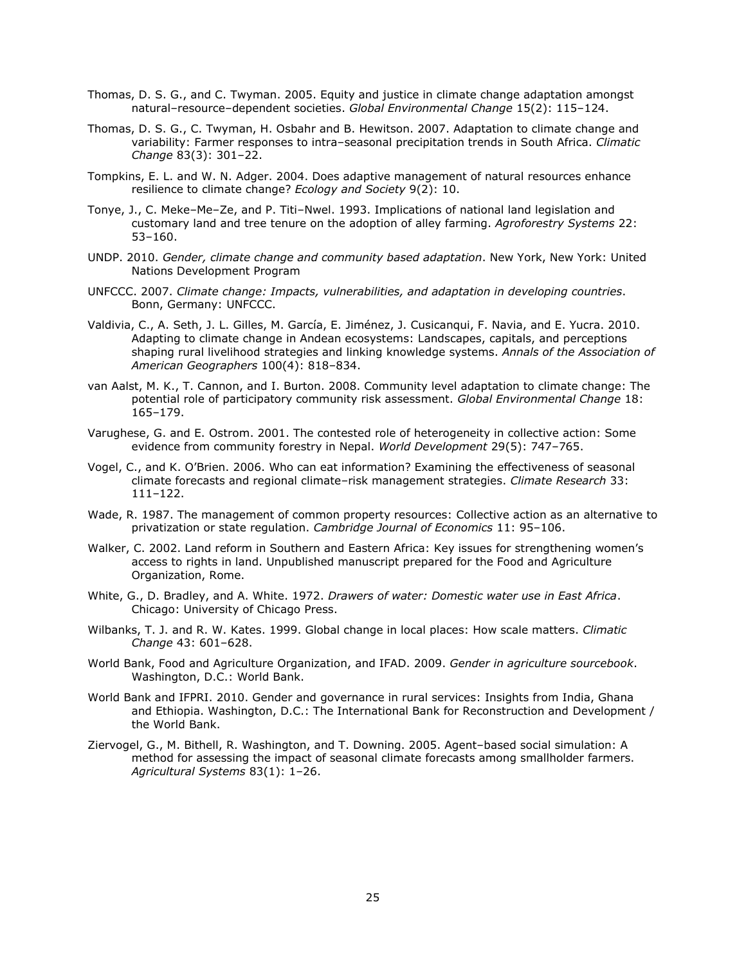- Thomas, D. S. G., and C. Twyman. 2005. Equity and justice in climate change adaptation amongst natural–resource–dependent societies. *Global Environmental Change* 15(2): 115–124.
- Thomas, D. S. G., C. Twyman, H. Osbahr and B. Hewitson. 2007. Adaptation to climate change and variability: Farmer responses to intra–seasonal precipitation trends in South Africa. *Climatic Change* 83(3): 301–22.
- Tompkins, E. L. and W. N. Adger. 2004. Does adaptive management of natural resources enhance resilience to climate change? *Ecology and Society* 9(2): 10.
- Tonye, J., C. Meke–Me–Ze, and P. Titi–Nwel. 1993. Implications of national land legislation and customary land and tree tenure on the adoption of alley farming. *Agroforestry Systems* 22: 53–160.
- UNDP. 2010. *Gender, climate change and community based adaptation*. New York, New York: United Nations Development Program
- UNFCCC. 2007. *Climate change: Impacts, vulnerabilities, and adaptation in developing countries*. Bonn, Germany: UNFCCC.
- Valdivia, C., A. Seth, J. L. Gilles, M. García, E. Jiménez, J. Cusicanqui, F. Navia, and E. Yucra. 2010. Adapting to climate change in Andean ecosystems: Landscapes, capitals, and perceptions shaping rural livelihood strategies and linking knowledge systems. *Annals of the Association of American Geographers* 100(4): 818–834.
- van Aalst, M. K., T. Cannon, and I. Burton. 2008. Community level adaptation to climate change: The potential role of participatory community risk assessment. *Global Environmental Change* 18: 165–179.
- Varughese, G. and E. Ostrom. 2001. The contested role of heterogeneity in collective action: Some evidence from community forestry in Nepal. *World Development* 29(5): 747–765.
- Vogel, C., and K. O'Brien. 2006. Who can eat information? Examining the effectiveness of seasonal climate forecasts and regional climate–risk management strategies. *Climate Research* 33: 111–122.
- Wade, R. 1987. The management of common property resources: Collective action as an alternative to privatization or state regulation. *Cambridge Journal of Economics* 11: 95–106.
- Walker, C. 2002. Land reform in Southern and Eastern Africa: Key issues for strengthening women's access to rights in land. Unpublished manuscript prepared for the Food and Agriculture Organization, Rome.
- White, G., D. Bradley, and A. White. 1972. *Drawers of water: Domestic water use in East Africa*. Chicago: University of Chicago Press.
- Wilbanks, T. J. and R. W. Kates. 1999. Global change in local places: How scale matters. *Climatic Change* 43: 601–628.
- World Bank, Food and Agriculture Organization, and IFAD. 2009. *Gender in agriculture sourcebook*. Washington, D.C.: World Bank.
- World Bank and IFPRI. 2010. Gender and governance in rural services: Insights from India, Ghana and Ethiopia. Washington, D.C.: The International Bank for Reconstruction and Development / the World Bank.
- Ziervogel, G., M. Bithell, R. Washington, and T. Downing. 2005. Agent–based social simulation: A method for assessing the impact of seasonal climate forecasts among smallholder farmers. *Agricultural Systems* 83(1): 1–26.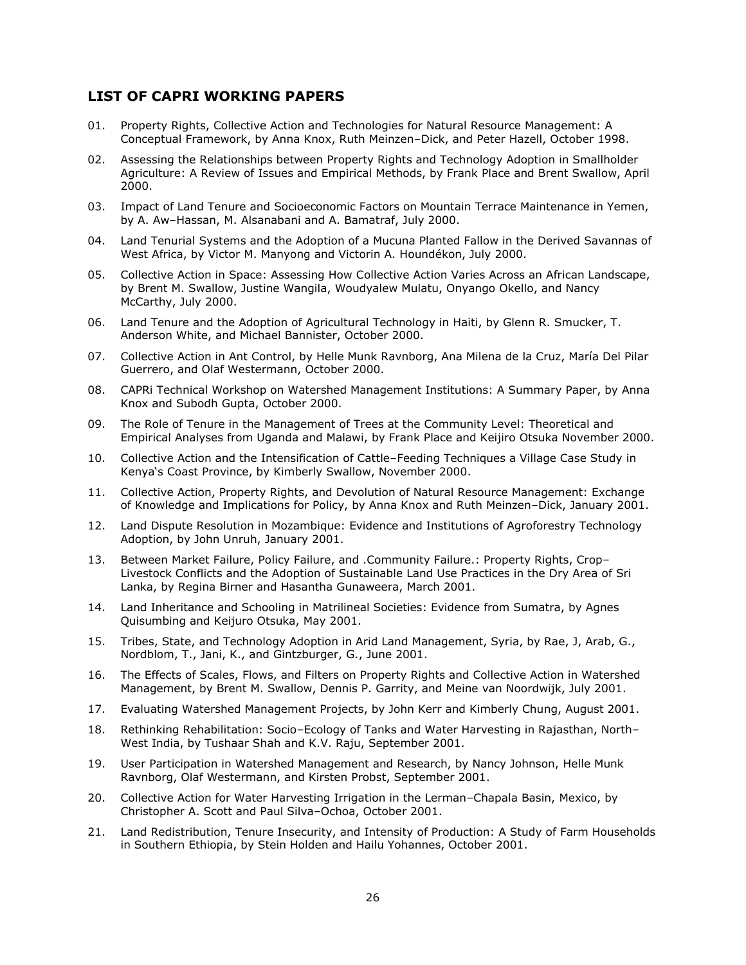#### <span id="page-30-0"></span>**LIST OF CAPRI WORKING PAPERS**

- 01. Property Rights, Collective Action and Technologies for Natural Resource Management: A Conceptual Framework, by Anna Knox, Ruth Meinzen–Dick, and Peter Hazell, October 1998.
- 02. Assessing the Relationships between Property Rights and Technology Adoption in Smallholder Agriculture: A Review of Issues and Empirical Methods, by Frank Place and Brent Swallow, April 2000.
- 03. Impact of Land Tenure and Socioeconomic Factors on Mountain Terrace Maintenance in Yemen, by A. Aw–Hassan, M. Alsanabani and A. Bamatraf, July 2000.
- 04. Land Tenurial Systems and the Adoption of a Mucuna Planted Fallow in the Derived Savannas of West Africa, by Victor M. Manyong and Victorin A. Houndékon, July 2000.
- 05. Collective Action in Space: Assessing How Collective Action Varies Across an African Landscape, by Brent M. Swallow, Justine Wangila, Woudyalew Mulatu, Onyango Okello, and Nancy McCarthy, July 2000.
- 06. Land Tenure and the Adoption of Agricultural Technology in Haiti, by Glenn R. Smucker, T. Anderson White, and Michael Bannister, October 2000.
- 07. Collective Action in Ant Control, by Helle Munk Ravnborg, Ana Milena de la Cruz, María Del Pilar Guerrero, and Olaf Westermann, October 2000.
- 08. CAPRi Technical Workshop on Watershed Management Institutions: A Summary Paper, by Anna Knox and Subodh Gupta, October 2000.
- 09. The Role of Tenure in the Management of Trees at the Community Level: Theoretical and Empirical Analyses from Uganda and Malawi, by Frank Place and Keijiro Otsuka November 2000.
- 10. Collective Action and the Intensification of Cattle–Feeding Techniques a Village Case Study in Kenya's Coast Province, by Kimberly Swallow, November 2000.
- 11. Collective Action, Property Rights, and Devolution of Natural Resource Management: Exchange of Knowledge and Implications for Policy, by Anna Knox and Ruth Meinzen–Dick, January 2001.
- 12. Land Dispute Resolution in Mozambique: Evidence and Institutions of Agroforestry Technology Adoption, by John Unruh, January 2001.
- 13. Between Market Failure, Policy Failure, and .Community Failure.: Property Rights, Crop-Livestock Conflicts and the Adoption of Sustainable Land Use Practices in the Dry Area of Sri Lanka, by Regina Birner and Hasantha Gunaweera, March 2001.
- 14. Land Inheritance and Schooling in Matrilineal Societies: Evidence from Sumatra, by Agnes Quisumbing and Keijuro Otsuka, May 2001.
- 15. Tribes, State, and Technology Adoption in Arid Land Management, Syria, by Rae, J, Arab, G., Nordblom, T., Jani, K., and Gintzburger, G., June 2001.
- 16. The Effects of Scales, Flows, and Filters on Property Rights and Collective Action in Watershed Management, by Brent M. Swallow, Dennis P. Garrity, and Meine van Noordwijk, July 2001.
- 17. Evaluating Watershed Management Projects, by John Kerr and Kimberly Chung, August 2001.
- 18. Rethinking Rehabilitation: Socio–Ecology of Tanks and Water Harvesting in Rajasthan, North– West India, by Tushaar Shah and K.V. Raju, September 2001.
- 19. User Participation in Watershed Management and Research, by Nancy Johnson, Helle Munk Ravnborg, Olaf Westermann, and Kirsten Probst, September 2001.
- 20. Collective Action for Water Harvesting Irrigation in the Lerman–Chapala Basin, Mexico, by Christopher A. Scott and Paul Silva–Ochoa, October 2001.
- 21. Land Redistribution, Tenure Insecurity, and Intensity of Production: A Study of Farm Households in Southern Ethiopia, by Stein Holden and Hailu Yohannes, October 2001.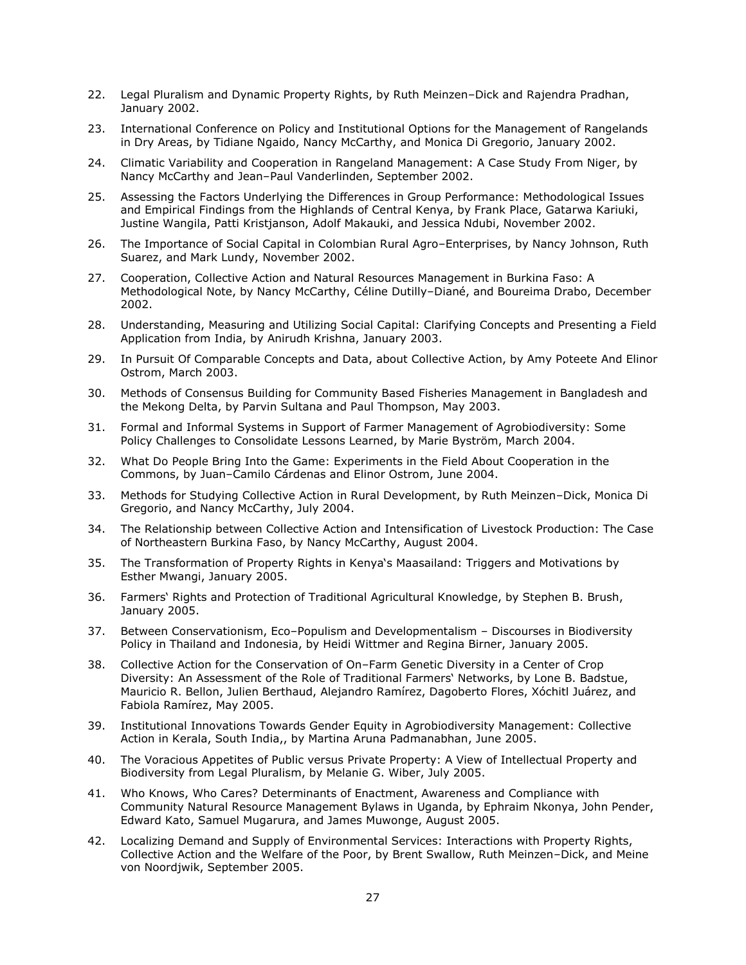- 22. Legal Pluralism and Dynamic Property Rights, by Ruth Meinzen–Dick and Rajendra Pradhan, January 2002.
- 23. International Conference on Policy and Institutional Options for the Management of Rangelands in Dry Areas, by Tidiane Ngaido, Nancy McCarthy, and Monica Di Gregorio, January 2002.
- 24. Climatic Variability and Cooperation in Rangeland Management: A Case Study From Niger, by Nancy McCarthy and Jean–Paul Vanderlinden, September 2002.
- 25. Assessing the Factors Underlying the Differences in Group Performance: Methodological Issues and Empirical Findings from the Highlands of Central Kenya, by Frank Place, Gatarwa Kariuki, Justine Wangila, Patti Kristjanson, Adolf Makauki, and Jessica Ndubi, November 2002.
- 26. The Importance of Social Capital in Colombian Rural Agro–Enterprises, by Nancy Johnson, Ruth Suarez, and Mark Lundy, November 2002.
- 27. Cooperation, Collective Action and Natural Resources Management in Burkina Faso: A Methodological Note, by Nancy McCarthy, Céline Dutilly–Diané, and Boureima Drabo, December 2002.
- 28. Understanding, Measuring and Utilizing Social Capital: Clarifying Concepts and Presenting a Field Application from India, by Anirudh Krishna, January 2003.
- 29. In Pursuit Of Comparable Concepts and Data, about Collective Action, by Amy Poteete And Elinor Ostrom, March 2003.
- 30. Methods of Consensus Building for Community Based Fisheries Management in Bangladesh and the Mekong Delta, by Parvin Sultana and Paul Thompson, May 2003.
- 31. Formal and Informal Systems in Support of Farmer Management of Agrobiodiversity: Some Policy Challenges to Consolidate Lessons Learned, by Marie Byström, March 2004.
- 32. What Do People Bring Into the Game: Experiments in the Field About Cooperation in the Commons, by Juan–Camilo Cárdenas and Elinor Ostrom, June 2004.
- 33. Methods for Studying Collective Action in Rural Development, by Ruth Meinzen–Dick, Monica Di Gregorio, and Nancy McCarthy, July 2004.
- 34. The Relationship between Collective Action and Intensification of Livestock Production: The Case of Northeastern Burkina Faso, by Nancy McCarthy, August 2004.
- 35. The Transformation of Property Rights in Kenya's Maasailand: Triggers and Motivations by Esther Mwangi, January 2005.
- 36. Farmers' Rights and Protection of Traditional Agricultural Knowledge, by Stephen B. Brush, January 2005.
- 37. Between Conservationism, Eco–Populism and Developmentalism Discourses in Biodiversity Policy in Thailand and Indonesia, by Heidi Wittmer and Regina Birner, January 2005.
- 38. Collective Action for the Conservation of On–Farm Genetic Diversity in a Center of Crop Diversity: An Assessment of the Role of Traditional Farmers' Networks, by Lone B. Badstue, Mauricio R. Bellon, Julien Berthaud, Alejandro Ramírez, Dagoberto Flores, Xóchitl Juárez, and Fabiola Ramírez, May 2005.
- 39. Institutional Innovations Towards Gender Equity in Agrobiodiversity Management: Collective Action in Kerala, South India,, by Martina Aruna Padmanabhan, June 2005.
- 40. The Voracious Appetites of Public versus Private Property: A View of Intellectual Property and Biodiversity from Legal Pluralism, by Melanie G. Wiber, July 2005.
- 41. Who Knows, Who Cares? Determinants of Enactment, Awareness and Compliance with Community Natural Resource Management Bylaws in Uganda, by Ephraim Nkonya, John Pender, Edward Kato, Samuel Mugarura, and James Muwonge, August 2005.
- 42. Localizing Demand and Supply of Environmental Services: Interactions with Property Rights, Collective Action and the Welfare of the Poor, by Brent Swallow, Ruth Meinzen–Dick, and Meine von Noordjwik, September 2005.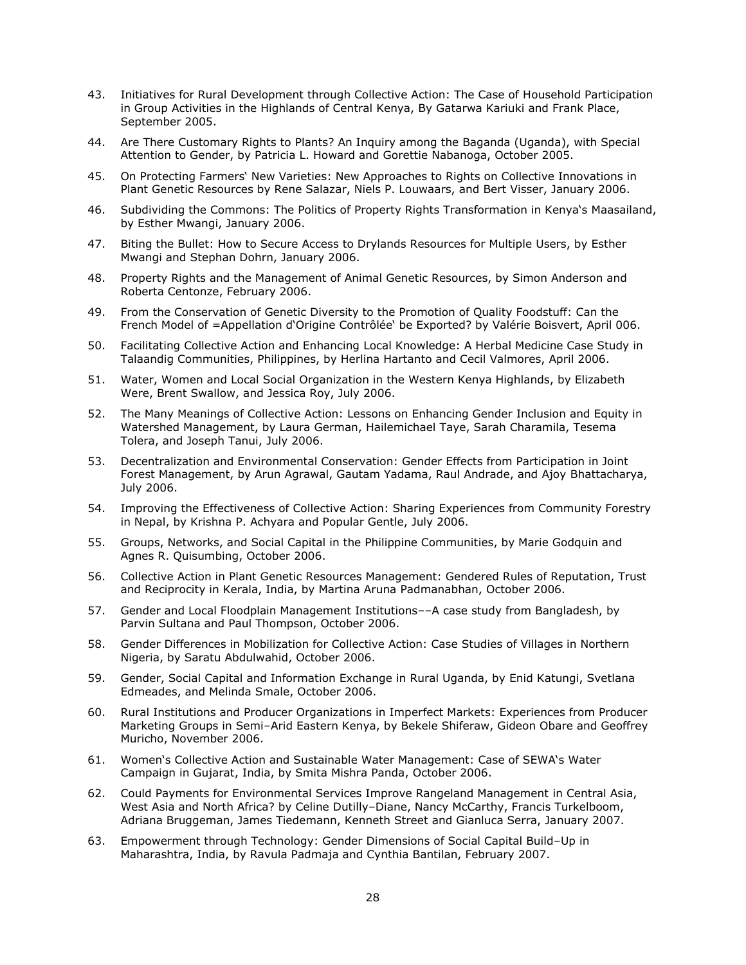- 43. Initiatives for Rural Development through Collective Action: The Case of Household Participation in Group Activities in the Highlands of Central Kenya, By Gatarwa Kariuki and Frank Place, September 2005.
- 44. Are There Customary Rights to Plants? An Inquiry among the Baganda (Uganda), with Special Attention to Gender, by Patricia L. Howard and Gorettie Nabanoga, October 2005.
- 45. On Protecting Farmers' New Varieties: New Approaches to Rights on Collective Innovations in Plant Genetic Resources by Rene Salazar, Niels P. Louwaars, and Bert Visser, January 2006.
- 46. Subdividing the Commons: The Politics of Property Rights Transformation in Kenya's Maasailand, by Esther Mwangi, January 2006.
- 47. Biting the Bullet: How to Secure Access to Drylands Resources for Multiple Users, by Esther Mwangi and Stephan Dohrn, January 2006.
- 48. Property Rights and the Management of Animal Genetic Resources, by Simon Anderson and Roberta Centonze, February 2006.
- 49. From the Conservation of Genetic Diversity to the Promotion of Quality Foodstuff: Can the French Model of =Appellation d'Origine Contrôlée' be Exported? by Valérie Boisvert, April 006.
- 50. Facilitating Collective Action and Enhancing Local Knowledge: A Herbal Medicine Case Study in Talaandig Communities, Philippines, by Herlina Hartanto and Cecil Valmores, April 2006.
- 51. Water, Women and Local Social Organization in the Western Kenya Highlands, by Elizabeth Were, Brent Swallow, and Jessica Roy, July 2006.
- 52. The Many Meanings of Collective Action: Lessons on Enhancing Gender Inclusion and Equity in Watershed Management, by Laura German, Hailemichael Taye, Sarah Charamila, Tesema Tolera, and Joseph Tanui, July 2006.
- 53. Decentralization and Environmental Conservation: Gender Effects from Participation in Joint Forest Management, by Arun Agrawal, Gautam Yadama, Raul Andrade, and Ajoy Bhattacharya, July 2006.
- 54. Improving the Effectiveness of Collective Action: Sharing Experiences from Community Forestry in Nepal, by Krishna P. Achyara and Popular Gentle, July 2006.
- 55. Groups, Networks, and Social Capital in the Philippine Communities, by Marie Godquin and Agnes R. Quisumbing, October 2006.
- 56. Collective Action in Plant Genetic Resources Management: Gendered Rules of Reputation, Trust and Reciprocity in Kerala, India, by Martina Aruna Padmanabhan, October 2006.
- 57. Gender and Local Floodplain Management Institutions––A case study from Bangladesh, by Parvin Sultana and Paul Thompson, October 2006.
- 58. Gender Differences in Mobilization for Collective Action: Case Studies of Villages in Northern Nigeria, by Saratu Abdulwahid, October 2006.
- 59. Gender, Social Capital and Information Exchange in Rural Uganda, by Enid Katungi, Svetlana Edmeades, and Melinda Smale, October 2006.
- 60. Rural Institutions and Producer Organizations in Imperfect Markets: Experiences from Producer Marketing Groups in Semi–Arid Eastern Kenya, by Bekele Shiferaw, Gideon Obare and Geoffrey Muricho, November 2006.
- 61. Women's Collective Action and Sustainable Water Management: Case of SEWA's Water Campaign in Gujarat, India, by Smita Mishra Panda, October 2006.
- 62. Could Payments for Environmental Services Improve Rangeland Management in Central Asia, West Asia and North Africa? by Celine Dutilly–Diane, Nancy McCarthy, Francis Turkelboom, Adriana Bruggeman, James Tiedemann, Kenneth Street and Gianluca Serra, January 2007.
- 63. Empowerment through Technology: Gender Dimensions of Social Capital Build–Up in Maharashtra, India, by Ravula Padmaja and Cynthia Bantilan, February 2007.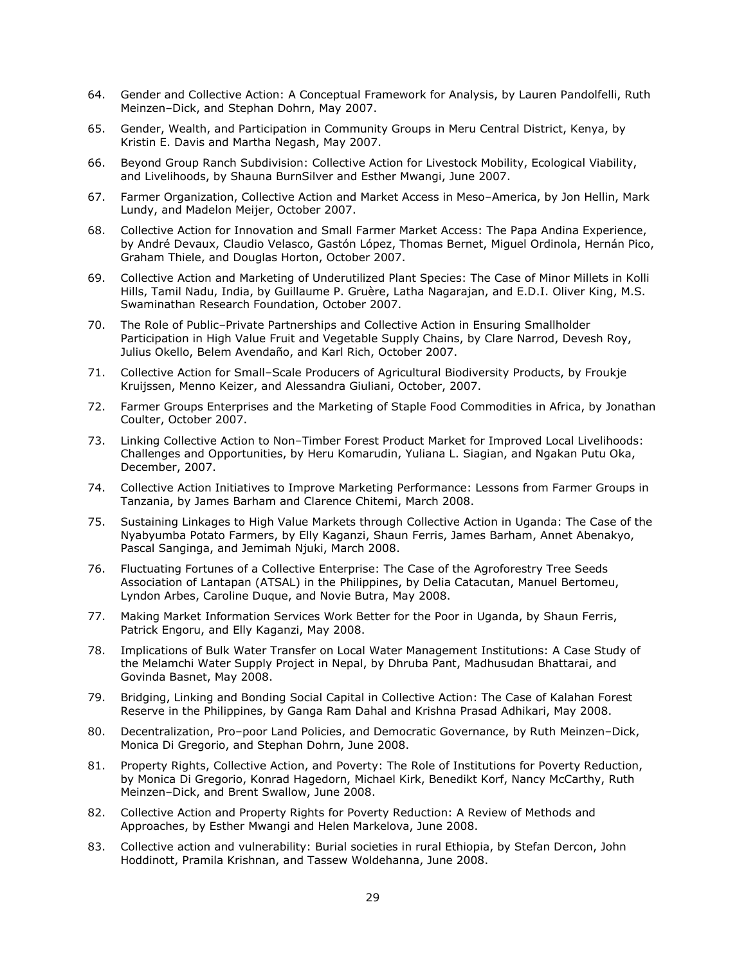- 64. Gender and Collective Action: A Conceptual Framework for Analysis, by Lauren Pandolfelli, Ruth Meinzen–Dick, and Stephan Dohrn, May 2007.
- 65. Gender, Wealth, and Participation in Community Groups in Meru Central District, Kenya, by Kristin E. Davis and Martha Negash, May 2007.
- 66. Beyond Group Ranch Subdivision: Collective Action for Livestock Mobility, Ecological Viability, and Livelihoods, by Shauna BurnSilver and Esther Mwangi, June 2007.
- 67. Farmer Organization, Collective Action and Market Access in Meso–America, by Jon Hellin, Mark Lundy, and Madelon Meijer, October 2007.
- 68. Collective Action for Innovation and Small Farmer Market Access: The Papa Andina Experience, by André Devaux, Claudio Velasco, Gastón López, Thomas Bernet, Miguel Ordinola, Hernán Pico, Graham Thiele, and Douglas Horton, October 2007.
- 69. Collective Action and Marketing of Underutilized Plant Species: The Case of Minor Millets in Kolli Hills, Tamil Nadu, India, by Guillaume P. Gruère, Latha Nagarajan, and E.D.I. Oliver King, M.S. Swaminathan Research Foundation, October 2007.
- 70. The Role of Public–Private Partnerships and Collective Action in Ensuring Smallholder Participation in High Value Fruit and Vegetable Supply Chains, by Clare Narrod, Devesh Roy, Julius Okello, Belem Avendaño, and Karl Rich, October 2007.
- 71. Collective Action for Small–Scale Producers of Agricultural Biodiversity Products, by Froukje Kruijssen, Menno Keizer, and Alessandra Giuliani, October, 2007.
- 72. Farmer Groups Enterprises and the Marketing of Staple Food Commodities in Africa, by Jonathan Coulter, October 2007.
- 73. Linking Collective Action to Non–Timber Forest Product Market for Improved Local Livelihoods: Challenges and Opportunities, by Heru Komarudin, Yuliana L. Siagian, and Ngakan Putu Oka, December, 2007.
- 74. Collective Action Initiatives to Improve Marketing Performance: Lessons from Farmer Groups in Tanzania, by James Barham and Clarence Chitemi, March 2008.
- 75. Sustaining Linkages to High Value Markets through Collective Action in Uganda: The Case of the Nyabyumba Potato Farmers, by Elly Kaganzi, Shaun Ferris, James Barham, Annet Abenakyo, Pascal Sanginga, and Jemimah Njuki, March 2008.
- 76. Fluctuating Fortunes of a Collective Enterprise: The Case of the Agroforestry Tree Seeds Association of Lantapan (ATSAL) in the Philippines, by Delia Catacutan, Manuel Bertomeu, Lyndon Arbes, Caroline Duque, and Novie Butra, May 2008.
- 77. Making Market Information Services Work Better for the Poor in Uganda, by Shaun Ferris, Patrick Engoru, and Elly Kaganzi, May 2008.
- 78. Implications of Bulk Water Transfer on Local Water Management Institutions: A Case Study of the Melamchi Water Supply Project in Nepal, by Dhruba Pant, Madhusudan Bhattarai, and Govinda Basnet, May 2008.
- 79. Bridging, Linking and Bonding Social Capital in Collective Action: The Case of Kalahan Forest Reserve in the Philippines, by Ganga Ram Dahal and Krishna Prasad Adhikari, May 2008.
- 80. Decentralization, Pro–poor Land Policies, and Democratic Governance, by Ruth Meinzen–Dick, Monica Di Gregorio, and Stephan Dohrn, June 2008.
- 81. Property Rights, Collective Action, and Poverty: The Role of Institutions for Poverty Reduction, by Monica Di Gregorio, Konrad Hagedorn, Michael Kirk, Benedikt Korf, Nancy McCarthy, Ruth Meinzen–Dick, and Brent Swallow, June 2008.
- 82. Collective Action and Property Rights for Poverty Reduction: A Review of Methods and Approaches, by Esther Mwangi and Helen Markelova, June 2008.
- 83. Collective action and vulnerability: Burial societies in rural Ethiopia, by Stefan Dercon, John Hoddinott, Pramila Krishnan, and Tassew Woldehanna, June 2008.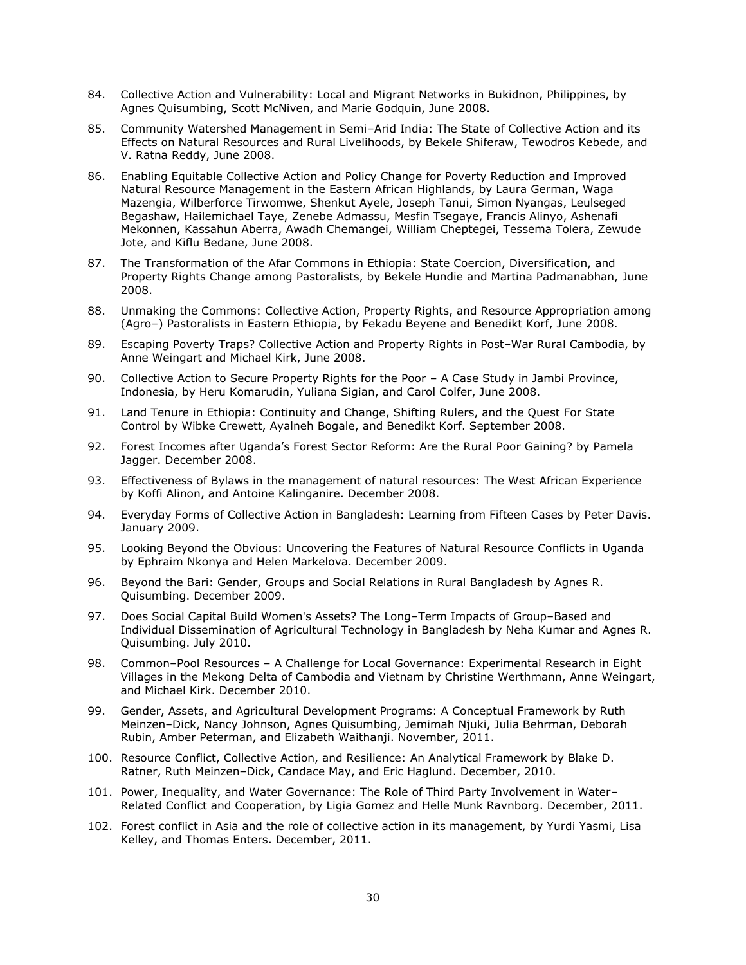- 84. Collective Action and Vulnerability: Local and Migrant Networks in Bukidnon, Philippines, by Agnes Quisumbing, Scott McNiven, and Marie Godquin, June 2008.
- 85. Community Watershed Management in Semi–Arid India: The State of Collective Action and its Effects on Natural Resources and Rural Livelihoods, by Bekele Shiferaw, Tewodros Kebede, and V. Ratna Reddy, June 2008.
- 86. Enabling Equitable Collective Action and Policy Change for Poverty Reduction and Improved Natural Resource Management in the Eastern African Highlands, by Laura German, Waga Mazengia, Wilberforce Tirwomwe, Shenkut Ayele, Joseph Tanui, Simon Nyangas, Leulseged Begashaw, Hailemichael Taye, Zenebe Admassu, Mesfin Tsegaye, Francis Alinyo, Ashenafi Mekonnen, Kassahun Aberra, Awadh Chemangei, William Cheptegei, Tessema Tolera, Zewude Jote, and Kiflu Bedane, June 2008.
- 87. The Transformation of the Afar Commons in Ethiopia: State Coercion, Diversification, and Property Rights Change among Pastoralists, by Bekele Hundie and Martina Padmanabhan, June 2008.
- 88. Unmaking the Commons: Collective Action, Property Rights, and Resource Appropriation among (Agro–) Pastoralists in Eastern Ethiopia, by Fekadu Beyene and Benedikt Korf, June 2008.
- 89. Escaping Poverty Traps? Collective Action and Property Rights in Post–War Rural Cambodia, by Anne Weingart and Michael Kirk, June 2008.
- 90. Collective Action to Secure Property Rights for the Poor A Case Study in Jambi Province, Indonesia, by Heru Komarudin, Yuliana Sigian, and Carol Colfer, June 2008.
- 91. Land Tenure in Ethiopia: Continuity and Change, Shifting Rulers, and the Quest For State Control by Wibke Crewett, Ayalneh Bogale, and Benedikt Korf. September 2008.
- 92. Forest Incomes after Uganda's Forest Sector Reform: Are the Rural Poor Gaining? by Pamela Jagger. December 2008.
- 93. Effectiveness of Bylaws in the management of natural resources: The West African Experience by Koffi Alinon, and Antoine Kalinganire. December 2008.
- 94. Everyday Forms of Collective Action in Bangladesh: Learning from Fifteen Cases by Peter Davis. January 2009.
- 95. Looking Beyond the Obvious: Uncovering the Features of Natural Resource Conflicts in Uganda by Ephraim Nkonya and Helen Markelova. December 2009.
- 96. Beyond the Bari: Gender, Groups and Social Relations in Rural Bangladesh by Agnes R. Quisumbing. December 2009.
- 97. Does Social Capital Build Women's Assets? The Long–Term Impacts of Group–Based and Individual Dissemination of Agricultural Technology in Bangladesh by Neha Kumar and Agnes R. Quisumbing. July 2010.
- 98. Common–Pool Resources A Challenge for Local Governance: Experimental Research in Eight Villages in the Mekong Delta of Cambodia and Vietnam by Christine Werthmann, Anne Weingart, and Michael Kirk. December 2010.
- 99. Gender, Assets, and Agricultural Development Programs: A Conceptual Framework by Ruth Meinzen–Dick, Nancy Johnson, Agnes Quisumbing, Jemimah Njuki, Julia Behrman, Deborah Rubin, Amber Peterman, and Elizabeth Waithanji. November, 2011.
- 100. Resource Conflict, Collective Action, and Resilience: An Analytical Framework by Blake D. Ratner, Ruth Meinzen–Dick, Candace May, and Eric Haglund. December, 2010.
- 101. Power, Inequality, and Water Governance: The Role of Third Party Involvement in Water– Related Conflict and Cooperation, by Ligia Gomez and Helle Munk Ravnborg. December, 2011.
- 102. Forest conflict in Asia and the role of collective action in its management, by Yurdi Yasmi, Lisa Kelley, and Thomas Enters. December, 2011.